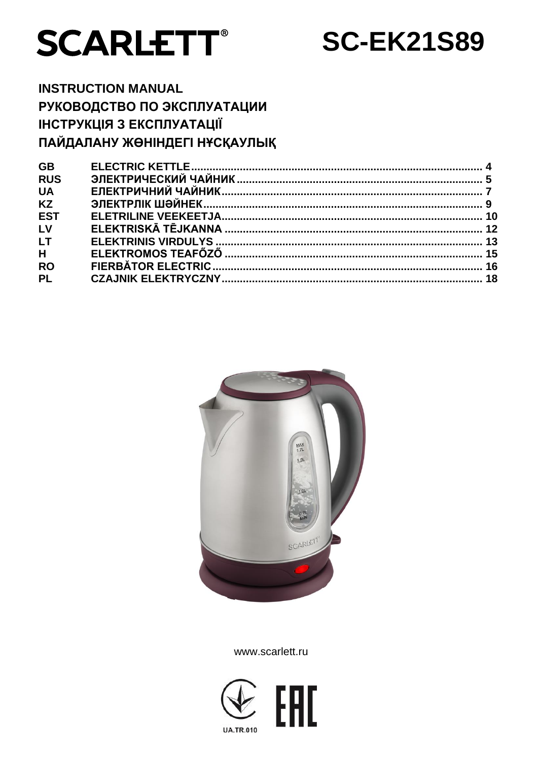

**SC-EK21S89** 

# **INSTRUCTION MANUAL** РУКОВОДСТВО ПО ЭКСПЛУАТАЦИИ ІНСТРУКЦІЯ З ЕКСПЛУАТАЦІЇ ПАЙДАЛАНУ ЖӨНІНДЕГІ НҰСҚАУЛЫҚ

| <b>GB</b>               |  |
|-------------------------|--|
| <b>RUS</b>              |  |
| <b>UA</b>               |  |
| <b>KZ</b>               |  |
| <b>EST</b>              |  |
| LV                      |  |
| <b>LT</b>               |  |
| $\overline{\mathsf{H}}$ |  |
| <b>RO</b>               |  |
| <b>PL</b>               |  |
|                         |  |



www.scarlett.ru

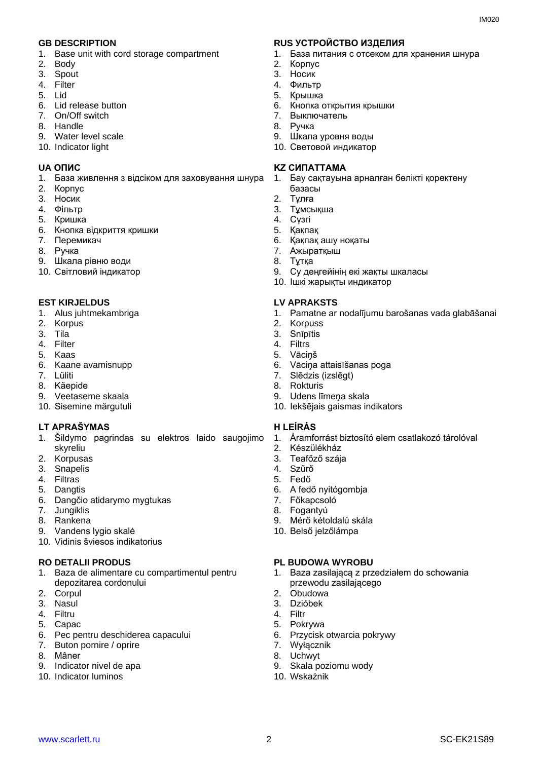- 1. Base unit with cord storage compartment
- 2. Body
- 3. Spout
- 4. Filter
- 5. Lid
- 6. Lid release button
- 7. On/Off switch
- 8. Handle
- 9. Water level scale
- 10. Indicator light

- 1. База живлення з відсіком для заховування шнура
- 2. Корпус
- 3. Носик
- 4. Фільтр
- 5. Кришка
- 6. Кнопка відкриття кришки
- 7. Перемикач
- 8. Ручка
- 9. Шкала рівню води
- 10. Cвітловий індикатор

#### **EST KIRJELDUS LV APRAKSTS**

- 1. Alus juhtmekambriga
- 2. Korpus
- 3. Tila
- 4. Filter
- 5. Kaas
- 6. Kaane avamisnupp
- 7. Lüliti
- 8. Käepide
- 9. Veetaseme skaala
- 10. Sisemine märgutuli

### **LT APRAŠYMAS H LEÍRÁS**

- 1. Šildymo pagrindas su elektros laido saugojimo skyreliu
- 2. Korpusas
- 3. Snapelis
- 4. Filtras
- 5. Dangtis
- 6. Dangčio atidarymo mygtukas
- 7. Jungiklis
- 8. Rankena
- 9. Vandens lygio skalė
- 10. Vidinis šviesos indikatorius

#### **RO DETALII PRODUS PL BUDOWA WYROBU**

- 1. Baza de alimentare cu compartimentul pentru depozitarea cordonului
- 2. Corpul
- 3. Nasul
- 4. Filtru
- 5. Capac
- 6. Pec pentru deschiderea capacului
- 7. Buton pornire / oprire
- 8. Mâner
- 9. Indicator nivel de apa
- 10. Indicator luminos

#### **GB DESCRIPTION RUS УСТРОЙСТВО ИЗДЕЛИЯ**

- 1. База питания с отсеком для хранения шнура
- 2. Корпус
- 3. Носик
- 4. Фильтр
- 5. Крышка
- 6. Кнопка открытия крышки
- 7. Выключатель
- 8. Ручка
- 9. Шкала уровня воды
- 10. Световой индикатор

#### **UA ОПИС KZ СИПАТТАМА**

- 1. Бау сақтауына арналған бөлікті қоректену базасы
- 2. Тұлға
- 3. Тұмсықша
- 4. Сүзгі
- 5. Қақпақ
- 6. Қақпақ ашу ноқаты
- 7. Ажыратқыш
- 8. Тұтқа
	-
- 9. Су деңгейінің екі жақты шкаласы
- 10. Ішкі жарықты индикатор

- 1. Pamatne ar nodalījumu barošanas vada glabāšanai
- 2. Korpuss
- 3. Snīpītis
- 4. Filtrs
- 5. Vāciņš
- 6. Vāciņa attaisīšanas poga
- 7. Slēdzis (izslēgt)
- 8. Rokturis
- 9. Udens līmeņa skala
- 10. Iekšējais gaismas indikators

1. Áramforrást biztosító elem csatlakozó tárolóval

1. Baza zasilającą z przedziałem do schowania

- 2. Készülékház
- 3. Teafőző szája
- 4. Szűrő
- 5. Fedő

www.scarlett.ru 2 2 SC-EK21S89

- 6. A fedő nyitógombja
- 7. Főkapcsoló
- 8. Fogantyú

2. Obudowa 3. Dzióbek 4. Filtr 5. Pokrywa

7. Wyłącznik 8. Uchwyt

10. Wskaźnik

9. Mérő kétoldalú skála

przewodu zasilającego

6. Przycisk otwarcia pokrywy

9. Skala poziomu wody

10. Belső jelzőlámpa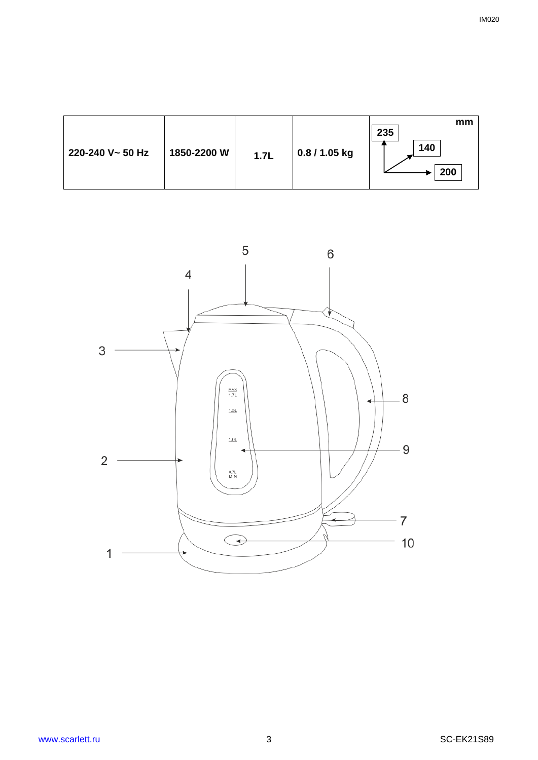| 220-240 V~ 50 Hz<br>1850-2200 W | 1.7L | 0.8 / 1.05 kg | mm<br>235<br>140<br>200 |
|---------------------------------|------|---------------|-------------------------|
|---------------------------------|------|---------------|-------------------------|

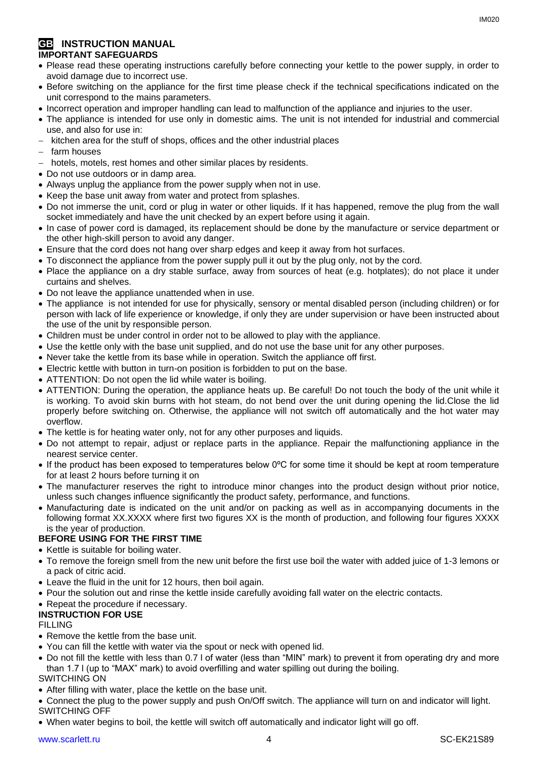#### **GB INSTRUCTION MANUAL IMPORTANT SAFEGUARDS**

- Please read these operating instructions carefully before connecting your kettle to the power supply, in order to avoid damage due to incorrect use.
- Before switching on the appliance for the first time please check if the technical specifications indicated on the unit correspond to the mains parameters.
- Incorrect operation and improper handling can lead to malfunction of the appliance and injuries to the user.
- The appliance is intended for use only in domestic aims. The unit is not intended for industrial and commercial use, and also for use in:
- kitchen area for the stuff of shops, offices and the other industrial places
- farm houses
- hotels, motels, rest homes and other similar places by residents.
- Do not use outdoors or in damp area.
- Always unplug the appliance from the power supply when not in use.
- Keep the base unit away from water and protect from splashes.
- Do not immerse the unit, cord or plug in water or other liquids. If it has happened, remove the plug from the wall socket immediately and have the unit checked by an expert before using it again.
- In case of power cord is damaged, its replacement should be done by the manufacture or service department or the other high-skill person to avoid any danger.
- Ensure that the cord does not hang over sharp edges and keep it away from hot surfaces.
- To disconnect the appliance from the power supply pull it out by the plug only, not by the cord.
- Place the appliance on a dry stable surface, away from sources of heat (e.g. hotplates); do not place it under curtains and shelves.
- Do not leave the appliance unattended when in use.
- The appliance is not intended for use for [physically, sensory or mental disabled](https://www.multitran.ru/c/m.exe?t=5841801_1_2&s1=%F7%E5%EB%EE%E2%E5%EA%20%F1%20%EE%E3%F0%E0%ED%E8%F7%E5%ED%ED%FB%EC%E8%20%E2%EE%E7%EC%EE%E6%ED%EE%F1%F2%FF%EC%E8) person (including children) or for person with lack of life experience or knowledge, if only they are under supervision or have been instructed about the use of the unit by responsible person.
- Children must be under control in order not to be allowed to play with the appliance.
- Use the kettle only with the base unit supplied, and do not use the base unit for any other purposes.
- Never take the kettle from its base while in operation. Switch the appliance off first.
- Electric kettle with button in turn-on position is forbidden to put on the base.
- ATTENTION: Do not open the lid while water is boiling.
- ATTENTION: During the operation, the appliance heats up. Be careful! Do not touch the body of the unit while it is working. To avoid skin burns with hot steam, do not bend over the unit during opening the lid.Close the lid properly before switching on. Otherwise, the appliance will not switch off automatically and the hot water may overflow.
- The kettle is for heating water only, not for any other purposes and liquids.
- Do not attempt to repair, adjust or replace parts in the appliance. Repair the malfunctioning appliance in the nearest service center.
- If the product has been exposed to temperatures below 0ºC for some time it should be kept at room temperature for at least 2 hours before turning it on
- The manufacturer reserves the right to introduce minor changes into the product design without prior notice, unless such changes influence significantly the product safety, performance, and functions.
- Manufacturing date is indicated on the unit and/or on packing as well as in accompanying documents in the following format XX.XXXX where first two figures XX is the month of production, and following four figures XXXX is the year of production.

# **BEFORE USING FOR THE FIRST TIME**

- Kettle is suitable for boiling water.
- To remove the foreign smell from the new unit before the first use boil the water with added juice of 1-3 lemons or a pack of citric acid.
- Leave the fluid in the unit for 12 hours, then boil again.
- Pour the solution out and rinse the kettle inside carefully avoiding fall water on the electric contacts.
- Repeat the procedure if necessary.

# **INSTRUCTION FOR USE**

### FILLING

- Remove the kettle from the base unit.
- You can fill the kettle with water via the spout or neck with opened lid.
- Do not fill the kettle with less than 0.7 l of water (less than "MIN" mark) to prevent it from operating dry and more than 1.7 l (up to "MAX" mark) to avoid overfilling and water spilling out during the boiling.

### SWITCHING ON

- After filling with water, place the kettle on the base unit.
- Connect the plug to the power supply and push On/Off switch. The appliance will turn on and indicator will light.
- SWITCHING OFF
- When water begins to boil, the kettle will switch off automatically and indicator light will go off.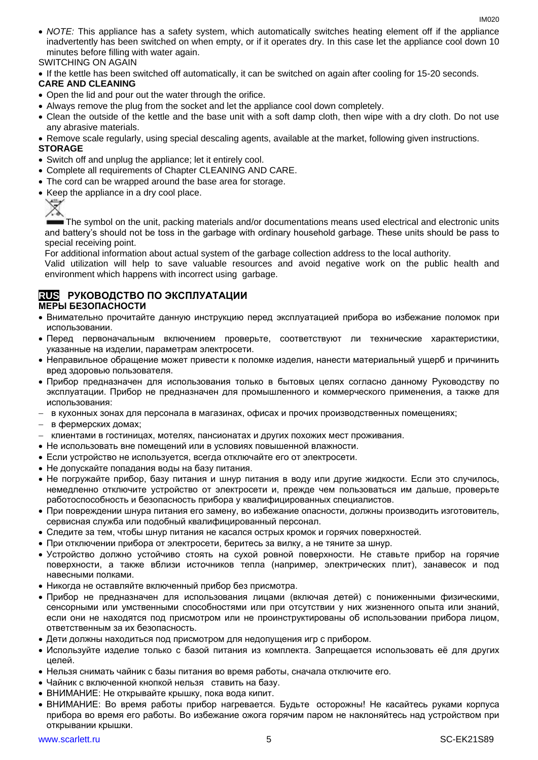- *NOTE:* This appliance has a safety system, which automatically switches heating element off if the appliance inadvertently has been switched on when empty, or if it operates dry. In this case let the appliance cool down 10 minutes before filling with water again. SWITCHING ON AGAIN
- If the kettle has been switched off automatically, it can be switched on again after cooling for 15-20 seconds.

# **CARE AND CLEANING**

- Open the lid and pour out the water through the orifice.
- Always remove the plug from the socket and let the appliance cool down completely.
- Clean the outside of the kettle and the base unit with a soft damp cloth, then wipe with a dry cloth. Do not use any abrasive materials.
- Remove scale regularly, using special descaling agents, available at the market, following given instructions.

### **STORAGE**

- Switch off and unplug the appliance; let it entirely cool.
- Complete all requirements of Chapter CLEANING AND CARE.
- The cord can be wrapped around the base area for storage.
- Keep the appliance in a dry cool place.



The symbol on the unit, packing materials and/or documentations means used electrical and electronic units and battery's should not be toss in the garbage with ordinary household garbage. These units should be pass to special receiving point.

For additional information about actual system of the garbage collection address to the local authority.

Valid utilization will help to save valuable resources and avoid negative work on the public health and environment which happens with incorrect using garbage.

# **RUS РУКОВОДСТВО ПО ЭКСПЛУАТАЦИИ**

### **МЕРЫ БЕЗОПАСНОСТИ**

- Внимательно прочитайте данную инструкцию перед эксплуатацией прибора во избежание поломок при использовании.
- Перед первоначальным включением проверьте, соответствуют ли технические характеристики, указанные на изделии, параметрам электросети.
- Неправильное обращение может привести к поломке изделия, нанести материальный ущерб и причинить вред здоровью пользователя.
- Прибор предназначен для использования только в бытовых целях согласно данному Руководству по эксплуатации. Прибор не предназначен для промышленного и коммерческого применения, а также для использования:
- в кухонных зонах для персонала в магазинах, офисах и прочих производственных помещениях;
- в фермерских домах;
- клиентами в гостиницах, мотелях, пансионатах и других похожих мест проживания.
- Не использовать вне помещений или в условиях повышенной влажности.
- Если устройство не используется, всегда отключайте его от электросети.
- Не допускайте попадания воды на базу питания.
- Не погружайте прибор, базу питания и шнур питания в воду или другие жидкости. Если это случилось, немедленно отключите устройство от электросети и, прежде чем пользоваться им дальше, проверьте работоспособность и безопасность прибора у квалифицированных специалистов.
- При повреждении шнура питания его замену, во избежание опасности, должны производить изготовитель, сервисная служба или подобный квалифицированный персонал.
- Следите за тем, чтобы шнур питания не касался острых кромок и горячих поверхностей.
- При отключении прибора от электросети, беритесь за вилку, а не тяните за шнур.
- Устройство должно устойчиво стоять на сухой ровной поверхности. Не ставьте прибор на горячие поверхности, а также вблизи источников тепла (например, электрических плит), занавесок и под навесными полками.
- Никогда не оставляйте включенный прибор без присмотра.
- Прибор не предназначен для использования лицами (включая детей) с пониженными физическими, сенсорными или умственными способностями или при отсутствии у них жизненного опыта или знаний, если они не находятся под присмотром или не проинструктированы об использовании прибора лицом, ответственным за их безопасность.
- Дети должны находиться под присмотром для недопущения игр с прибором.
- Используйте изделие только с базой питания из комплекта. Запрещается использовать её для других целей.
- Нельзя снимать чайник с базы питания во время работы, сначала отключите его.
- Чайник с включенной кнопкой нельзя ставить на базу.
- ВНИМАНИЕ: Не открывайте крышку, пока вода кипит.
- ВНИМАНИЕ: Во время работы прибор нагревается. Будьте осторожны! Не касайтесь руками корпуса прибора во время его работы. Во избежание ожога горячим паром не наклоняйтесь над устройством при открывании крышки.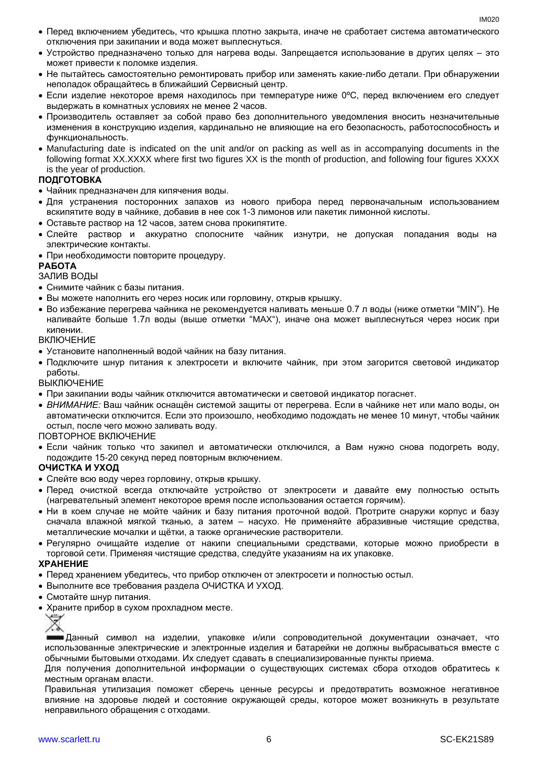- Перед включением убедитесь, что крышка плотно закрыта, иначе не сработает система автоматического отключения при закипании и вода может выплеснуться.
- Устройство предназначено только для нагрева воды. Запрещается использование в других целях это может привести к поломке изделия.
- Не пытайтесь самостоятельно ремонтировать прибор или заменять какие-либо детали. При обнаружении неполадок обращайтесь в ближайший Сервисный центр.
- Если изделие некоторое время находилось при температуре ниже 0ºC, перед включением его следует выдержать в комнатных условиях не менее 2 часов.
- Производитель оставляет за собой право без дополнительного уведомления вносить незначительные изменения в конструкцию изделия, кардинально не влияющие на его безопасность, работоспособность и функциональность.
- Manufacturing date is indicated on the unit and/or on packing as well as in accompanying documents in the following format XX.XXXX where first two figures XX is the month of production, and following four figures XXXX is the year of production.

# **ПОДГОТОВКА**

- Чайник предназначен для кипячения воды.
- Для устранения посторонних запахов из нового прибора перед первоначальным использованием вскипятите воду в чайнике, добавив в нее сок 1-3 лимонов или пакетик лимонной кислоты.
- Оставьте раствор на 12 часов, затем снова прокипятите.
- Слейте раствор и аккуратно сполосните чайник изнутри, не допуская попадания воды на электрические контакты.
- При необходимости повторите процедуру.

#### **РАБОТА**

### ЗАЛИВ ВОДЫ

- Снимите чайник с базы питания.
- Вы можете наполнить его через носик или горловину, открыв крышку.
- Во избежание перегрева чайника не рекомендуется наливать меньше 0.7 л воды (ниже отметки "MIN"). Не наливайте больше 1.7л воды (выше отметки "MAX"), иначе она может выплеснуться через носик при кипении.

#### ВКЛЮЧЕНИЕ

- Установите наполненный водой чайник на базу питания.
- Подключите шнур питания к электросети и включите чайник, при этом загорится световой индикатор работы.

#### ВЫКЛЮЧЕНИЕ

- При закипании воды чайник отключится автоматически и световой индикатор погаснет.
- *ВНИМАНИЕ:* Ваш чайник оснащён системой защиты от перегрева. Если в чайнике нет или мало воды, он автоматически отключится. Если это произошло, необходимо подождать не менее 10 минут, чтобы чайник остыл, после чего можно заливать воду.

#### ПОВТОРНОЕ ВКЛЮЧЕНИЕ

 Если чайник только что закипел и автоматически отключился, а Вам нужно снова подогреть воду, подождите 15-20 секунд перед повторным включением.

### **ОЧИСТКА И УХОД**

- Слейте всю воду через горловину, открыв крышку.
- Перед очисткой всегда отключайте устройство от электросети и давайте ему полностью остыть (нагревательный элемент некоторое время после использования остается горячим).
- Ни в коем случае не мойте чайник и базу питания проточной водой. Протрите снаружи корпус и базу сначала влажной мягкой тканью, а затем – насухо. Не применяйте абразивные чистящие средства, металлические мочалки и щётки, а также органические растворители.
- Регулярно очищайте изделие от накипи специальными средствами, которые можно приобрести в торговой сети. Применяя чистящие средства, следуйте указаниям на их упаковке.

#### **ХРАНЕНИЕ**

- Перед хранением убедитесь, что прибор отключен от электросети и полностью остыл.
- Выполните все требования раздела ОЧИСТКА И УХОД.
- Смотайте шнур питания.
- Храните прибор в сухом прохладном месте.



Данный символ на изделии, упаковке и/или сопроводительной документации означает, что использованные электрические и электронные изделия и батарейки не должны выбрасываться вместе с обычными бытовыми отходами. Их следует сдавать в специализированные пункты приема.

Для получения дополнительной информации о существующих системах сбора отходов обратитесь к местным органам власти.

Правильная утилизация поможет сберечь ценные ресурсы и предотвратить возможное негативное влияние на здоровье людей и состояние окружающей среды, которое может возникнуть в результате неправильного обращения с отходами.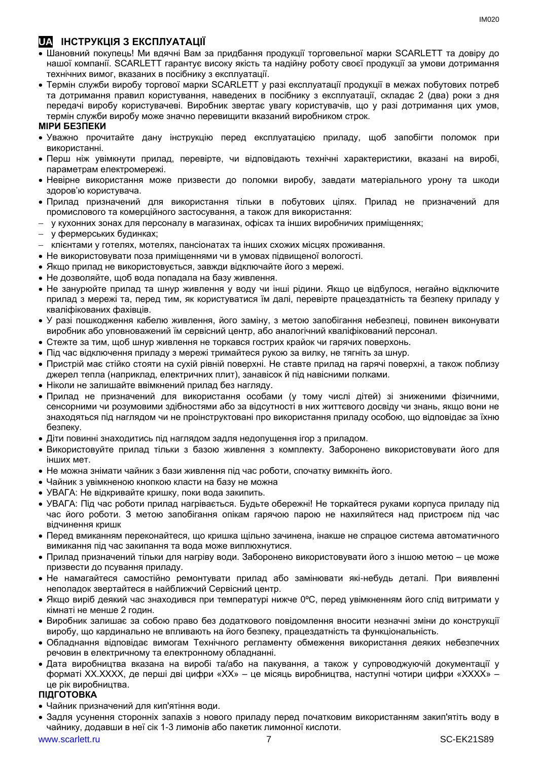# **UA ІНСТРУКЦІЯ З ЕКСПЛУАТАЦІЇ**

- Шановний покупець! Ми вдячні Вам за придбання продукції торговельної марки SCARLETT та довіру до нашої компанії. SCARLETT гарантує високу якість та надійну роботу своєї продукції за умови дотримання технічних вимог, вказаних в посібнику з експлуатації.
- Термін служби виробу торгової марки SCARLETT у разі експлуатації продукції в межах побутових потреб та дотримання правил користування, наведених в посібнику з експлуатації, складає 2 (два) роки з дня передачі виробу користувачеві. Виробник звертає увагу користувачів, що у разі дотримання цих умов, термін служби виробу може значно перевищити вказаний виробником строк.

# **МІРИ БЕЗПЕКИ**

- Уважно прочитайте дану інструкцію перед експлуатацією приладу, щоб запобігти поломок при використанні.
- Перш ніж увімкнути прилад, перевірте, чи відповідають технічні характеристики, вказані на виробі, параметрам електромережі.
- Невiрне використання може призвести до поломки виробу, завдати матеріального урону та шкоди здоров'ю користувача.
- Прилад призначений для використання тільки в побутових цілях. Прилад не призначений для промислового та комерційного застосування, а також для використання:
- у кухонних зонах для персоналу в магазинах, офісах та інших виробничих приміщеннях;
- у фермерських будинках;
- клієнтами у готелях, мотелях, пансіонатах та інших схожих місцях проживання.
- Не використовувати поза приміщеннями чи в умовах підвищеної вологості.
- Якщо прилад не використовується, завжди відключайте його з мережі.
- Не дозволяйте, щоб вода попадала на базу живлення.
- Не занурюйте прилад та шнур живлення у воду чи інші рідини. Якщо це відбулося, негайно відключите прилад з мережі та, перед тим, як користуватися їм далі, перевірте працездатність та безпеку приладу у кваліфікованих фахівців.
- У разі пошкодження кабелю живлення, його заміну, з метою запобігання небезпеці, повинен виконувати виробник або уповноважений їм сервісний центр, або аналогічний кваліфікований персонал.
- Стежте за тим, щоб шнур живлення не торкався гострих крайок чи гарячих поверхонь.
- Пiд час відключення приладу з мережі тримайтеся рукою за вилку, не тягніть за шнур.
- Пристрій має стійко стояти на сухій рiвній поверхні. Не ставте прилад на гарячі поверхні, а також поблизу джерел тепла (наприклад, електричних плит), занавісок й під навісними полками.
- Ніколи не залишайте ввімкнений прилад без нагляду.
- Прилад не призначений для використання особами (у тому числі дітей) зі зниженими фізичними, сенсорними чи розумовими здібностями або за відсутності в них життєвого досвіду чи знань, якщо вони не знаходяться під наглядом чи не проінструктовані про використання приладу особою, що відповідає за їхню безпеку.
- Діти повинні знаходитись під наглядом задля недопущення ігор з приладом.
- Використовуйте прилад тільки з базою живлення з комплекту. Заборонено використовувати його для iнших мет.
- Не можна знімати чайник з бази живлення пiд час роботи, спочатку вимкніть його.
- Чайник з увімкненою кнопкою класти на базу не можна
- УВАГА: Не відкривайте кришку, поки вода закипить.
- УВАГА: Під час роботи прилад нагрівається. Будьте обережні! Не торкайтеся руками корпуса приладу під час його роботи. З метою запобігання опікам гарячою парою не нахиляйтеся над пристроєм під час відчинення кришк
- Перед вмиканням переконайтеся, що кришка щільно зачинена, інакше не спрацюе система автоматичного вимикання пiд час закипання та вода може виплюхнутися.
- Прилад призначений тільки для нагріву води. Заборонено використовувати його з іншою метою це може призвести до псування приладу.
- Не намагайтеся самостійно ремонтувати прилад або замінювати які-небудь деталі. При виявленні неполадок звертайтеся в найближчий Сервісний центр.
- Якщо виріб деякий час знаходився при температурі нижче 0ºC, перед увімкненням його слід витримати у кімнаті не менше 2 годин.
- Виробник залишає за собою право без додаткового повідомлення вносити незначні зміни до конструкції виробу, що кардинально не впливають на його безпеку, працездатність та функціональність.
- Обладнання відповідає вимогам Технічного регламенту обмеження використання деяких небезпечних речовин в електричному та електронному обладнанні.
- Дата виробництва вказана на виробі та/або на пакування, а також у супроводжуючій документації у форматі XX.XXXX, де перші дві цифри «XX» – це місяць виробництва, наступні чотири цифри «XXXX» – це рік виробництва.

# **ПІДГОТОВКА**

- Чайник призначений для кип'ятіння води.
- Задля усунення сторонніх запахів з нового приладу перед початковим використанням закип'ятіть воду в чайнику, додавши в неї сік 1-3 лимонів або пакетик лимонної кислоти.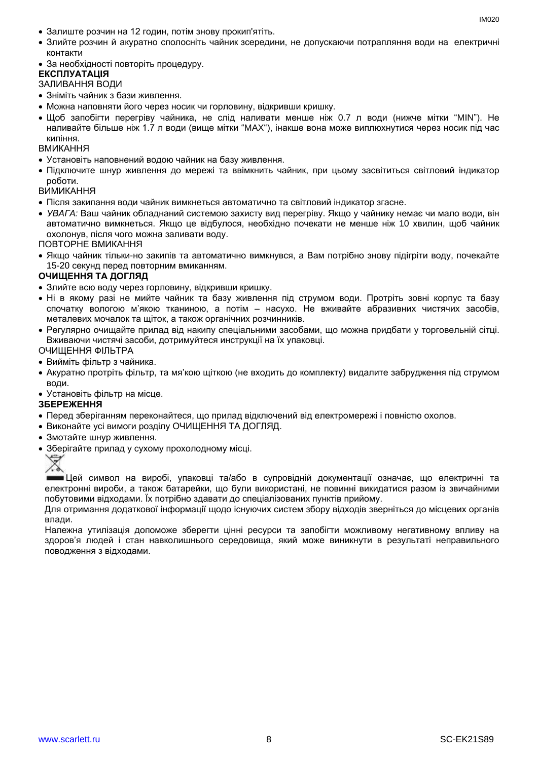- Залиште розчин на 12 годин, потім знову прокип'ятіть.
- Злийте розчин й акуратно сполосніть чайник зсередини, не допускаючи потрапляння води на електричні контакти
- За необхідності повторіть процедуру.

# **ЕКСПЛУАТАЦІЯ**

# ЗАЛИВАННЯ ВОДИ

- Зніміть чайник з бази живлення.
- Можна наповняти його через носик чи горловину, відкривши кришку.
- Щоб запобігти перегріву чайника, не слiд наливати менше ніж 0.7 л води (нижче мітки "MIN"). Не наливайте більше ніж 1.7 л води (вище мітки "MAX"), інакше вона може виплюхнутися через носик пiд час кипіння.

#### ВМИКАННЯ

- Установіть наповнений водою чайник на базу живлення.
- Підключите шнур живлення до мережі та ввімкнить чайник, при цьому засвітиться світловий індикатор роботи.

#### ВИМИКАННЯ

- Після закипання води чайник вимкнеться автоматично та світловий індикатор згасне.
- *УВАГА:* Ваш чайник обладнаний системою захисту вид перегріву. Якщо у чайнику немає чи мало води, він автоматично вимкнеться. Якщо це відбулося, необхідно почекати не менше ніж 10 хвилин, щоб чайник охолонув, після чого можна заливати воду.

ПОВТОРНЕ ВМИКАННЯ

 Якщо чайник тільки-но закипів та автоматично вимкнувся, а Вам потрібно знову підігріти воду, почекайте 15-20 секунд перед повторним вмиканням.

### **ОЧИЩЕННЯ ТА ДОГЛЯД**

- Злийте всю воду через горловину, відкривши кришку.
- Ні в якому разі не мийте чайник та базу живлення під струмом води. Протріть зовні корпус та базу спочатку вологою м'якою тканиною, а потім – насухо. Не вживайте абразивних чистячих засобів, металевих мочалок та щіток, а також органічних розчинників.
- Регулярно очищайте прилад від накипу спеціальними засобами, що можна придбати у торговельній сітці. Вживаючи чистячі засоби, дотримуйтеся инструкції на їх упаковці.

# ОЧИЩЕННЯ ФІЛЬТРА

- Вийміть фільтр з чайника.
- Акуратно протріть фільтр, та мя'кою щіткою (не входить до комплекту) видалите забрудження під струмом води.

Установіть фільтр на місце.

### **ЗБЕРЕЖЕННЯ**

- Перед зберіганням переконайтеся, що прилад відключений від електромережі і повністю охолов.
- Виконайте усі вимоги розділу ОЧИЩЕННЯ ТА ДОГЛЯД.
- Змотайте шнур живлення.
- Зберігайте прилад у сухому прохолодному місці.



Цей символ на виробі, упаковці та/або в супровідній документації означає, що електричні та електронні вироби, а також батарейки, що були використані, не повинні викидатися разом із звичайними побутовими відходами. Їх потрібно здавати до спеціалізованих пунктів прийому.

Для отримання додаткової інформації щодо існуючих систем збору відходів зверніться до місцевих органів влади.

Належна утилізація допоможе зберегти цінні ресурси та запобігти можливому негативному впливу на здоров'я людей і стан навколишнього середовища, який може виникнути в результаті неправильного поводження з відходами.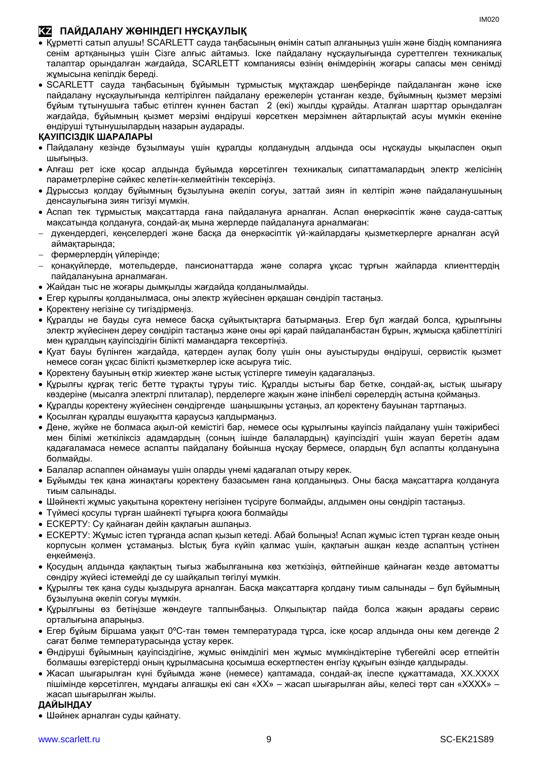# **KZ ПАЙДАЛАНУ ЖӨНІНДЕГІ НҰСҚАУЛЫҚ**

- Құрметті сатып алушы! SCARLETT сауда таңбасының өнімін сатып алғаныңыз үшін және біздің компанияға сенім артқаныңыз үшін Сізге алғыс айтамыз. Іске пайдалану нұсқаулығында суреттелген техникалық талаптар орындалған жағдайда, SCARLETT компаниясы өзінің өнімдерінің жоғары сапасы мен сенімді жұмысына кепілдік береді.
- SCARLETT сауда таңбасының бұйымын тұрмыстық мұқтаждар шеңберінде пайдаланған және іске пайдалану нұсқаулығында келтірілген пайдалану ережелерін ұстанған кезде, бұйымның қызмет мерзімі бұйым тұтынушыға табыс етілген күннен бастап 2 (екі) жылды құрайды. Аталған шарттар орындалған жағдайда, бұйымның қызмет мерзімі өндіруші көрсеткен мерзімнен айтарлықтай асуы мүмкін екеніне өндіруші тұтынушылардың назарын аударады.

# **ҚАУІПСІЗДІК ШАРАЛАРЫ**

- Пайдалану кезінде бұзылмауы үшін құралды қолданудың алдында осы нұсқауды ықыласпен оқып шығыңыз.
- Алғаш рет іске қосар алдында бұйымда көрсетілген техникалық сипаттамалардың электр желісінің параметрлеріне сәйкес келетін-келмейтінін тексеріңіз.
- Дұрыссыз қолдау бұйымның бұзылуына әкеліп соғуы, заттай зиян іп келтіріп және пайдаланушының денсаулығына зиян тигізуі мүмкін.
- Аспап тек тұрмыстық мақсаттарда ғана пайдалануға арналған. Аспап өнеркәсіптік және сауда-саттық мақсатында қолдануға, сондай-ақ мына жерлерде пайдалануға арналмаған:
- дүкендердегі, кеңселердегі және басқа да өнеркәсіптік үй-жайлардағы қызметкерлерге арналған асүй аймақтарында;
- фермерлердің үйлерінде;
- қонақүйлерде, мотельдерде, пансионаттарда және соларға ұқсас тұрғын жайларда клиенттердің пайдалануына арналмаған.
- Жайдан тыс не жоғары дымқылды жағдайда қолданылмайды.
- Егер құрылғы қолданылмаса, оны электр жүйесінен әрқашан сөндіріп тастаңыз.
- Қоректену негізіне су тигіздірмеңіз.
- Құралды не бауды суға немесе басқа сұйықтықтарға батырмаңыз. Егер бұл жағдай болса, құрылғыны электр жүйесінен дереу сөндіріп тастаңыз және оны әрі қарай пайдаланбастан бұрын, жұмысқа қабілеттілігі мен құралдың қауіпсіздігін білікті мамандарға тексертіңіз.
- Қуат бауы бүлінген жағдайда, қатерден аулақ болу үшін оны ауыстыруды өндіруші, сервистік қызмет немесе соған ұқсас білікті қызметкерлер іске асыруға тиіс.
- Қоректену бауының өткір жиектер және ыстық үстілерге тимеуін қадағалаңыз.
- Құрылғы құрғақ тегіс бетте тұрақты тұруы тиіс. Құралды ыстығы бар бетке, сондай-ақ, ыстық шығару көздеріне (мысалға электрлі плиталар), перделерге жақын және ілінбелі сөрелердің астына қоймаңыз.
- Құралды қоректену жүйесінен сөндіргенде шаңышқыны ұстаңыз, ал қоректену бауынан тартпаңыз.
- Қосылған құралды ешуақытта қараусыз қалдырмаңыз.
- Дене, жүйке не болмаса ақыл-ой кемістігі бар, немесе осы құрылғыны қауіпсіз пайдалану үшін тәжірибесі мен білімі жеткіліксіз адамдардың (соның ішінде балалардың) қауіпсіздігі үшін жауап беретін адам қадағаламаса немесе аспапты пайдалану бойынша нұсқау бермесе, олардың бұл аспапты қолдануына болмайды.
- Балалар аспаппен ойнамауы үшін оларды үнемі қадағалап отыру керек.
- Бұйымды тек қана жинақтағы қоректену базасымен ғана қолданыңыз. Оны басқа мақсаттарға қолдануға тиым салынады.
- Шәйнекті жұмыс уақытына қоректену негізінен түсіруге болмайды, алдымен оны сөндіріп тастаңыз.
- Түймесі қосулы түрған шайнекті тұғырға қоюға болмайды
- ЕСКЕРТУ: Су қайнаған дейін қақпағын ашпаңыз.
- ЕСКЕРТУ: Жұмыс істеп тұрғанда аспап қызып кетеді. Абай болыңыз! Аспап жұмыс істеп тұрған кезде оның корпусын қолмен ұстамаңыз. Ыстық буға күйіп қалмас үшін, қақпағын ашқан кезде аспаптың үстінен еңкеймеңіз.
- Қосудың алдында қақпақтың тығыз жабылғанына көз жеткізіңіз, өйтпейінше қайнаған кезде автоматты сөндіру жүйесі істемейді де су шайқалып төгілуі мүмкін.
- Құрылғы тек қана суды қыздыруға арналған. Басқа мақсаттарға қолдану тиым салынады бұл бұйымның бұзылуына әкеліп соғуы мүмкін.
- Құрылғыны өз бетіңізше жөндеуге талпынбаңыз. Олқылықтар пайда болса жақын арадағы сервис орталығына апарыңыз.
- Егер бұйым біршама уақыт 0ºC-тан төмен температурада тұрса, іске қосар алдында оны кем дегенде 2 сағат бөлме температурасында ұстау керек.
- Өндіруші бұйымның қауіпсіздігіне, жұмыс өнімділігі мен жұмыс мүмкіндіктеріне түбегейлі әсер етпейтін болмашы өзгерістерді оның құрылмасына қосымша ескертпестен енгізу құқығын өзінде қалдырады.
- Жасап шығарылған күні бұйымда және (немесе) қаптамада, сондай-ақ ілеспе құжаттамада, XX.XXXX пішімінде көрсетілген, мұндағы алғашқы екі сан «XX» – жасап шығарылған айы, келесі төрт сан «XXXX» – жасап шығарылған жылы.

### **ДАЙЫНДАУ**

Шәйнек арналған суды қайнату.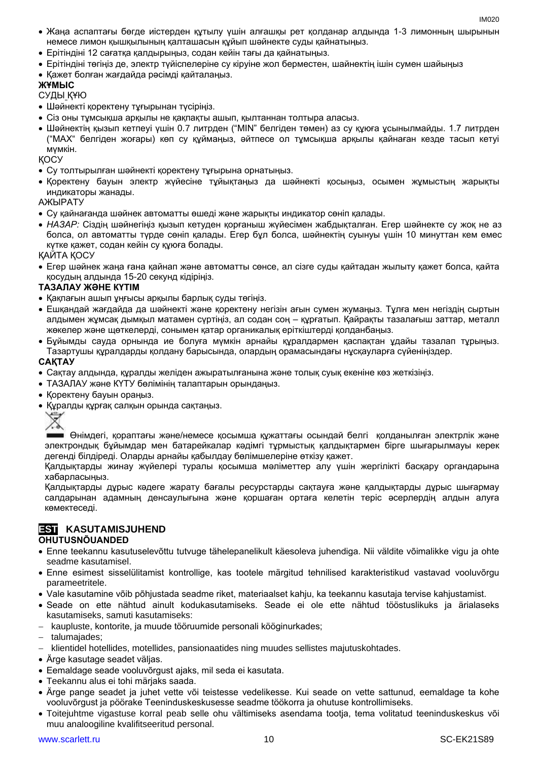- Жаңа аспаптағы бөгде иістерден құтылу үшін алғашқы рет қолданар алдында 1-3 лимонның шырынын немесе лимон қышқылының қалташасын құйып шәйнекте суды қайнатыңыз.
- Ерітіндіні 12 сағатқа қалдырыңыз, содан кейін тағы да қайнатыңыз.
- Ерітіндіні төгіңіз де, электр түйіспелеріне су кіруіне жол берместен, шайнектің ішін сумен шайыңыз
- Қажет болған жағдайда рәсімді қайталаңыз.

# **ЖҰМЫС**

СУДЫ ҚҰЮ

- Шәйнекті қоректену тұғырынан түсіріңіз.
- Сіз оны тұмсықша арқылы не қақпақты ашып, қылтаннан толтыра алаcыз.
- Шәйнектің қызып кетпеуі үшін 0.7 литрден ("MIN" белгіден төмен) аз су құюға ұсынылмайды. 1.7 литрден ("MAX" белгіден жоғары) көп су құймаңыз, әйтпесе ол тұмсықша арқылы қайнаған кезде тасып кетуі мүмкін.

ҚОСУ

- Су толтырылған шәйнекті қоректену тұғырына орнатыңыз.
- Қоректену бауын электр жүйесіне тұйықтаңыз да шәйнекті қосыңыз, осымен жұмыстың жарықты индикаторы жанады.

АЖЫРАТУ

- Су қайнағанда шәйнек автоматты өшеді және жарықты индикатор сөніп қалады.
- *НАЗАР:* Сіздің шәйнегіңіз қызып кетуден қорғаныш жүйесімен жабдықталған. Егер шәйнекте су жоқ не аз болса, ол автоматты түрде сөніп қалады. Егер бұл болса, шәйнектің суынуы үшін 10 минуттан кем емес күтке қажет, содан кейін су құюға болады.

ҚАЙТА ҚОСУ

 Егер шәйнек жаңа ғана қайнап және автоматты сөнсе, ал сізге суды қайтадан жылыту қажет болса, қайта қосудың алдында 15-20 секунд кідіріңіз.

# **ТАЗАЛАУ ЖӘНЕ КҮТІМ**

- Қақпағын ашып ұңғысы арқылы барлық суды төгіңіз.
- Ешқандай жағдайда да шәйнекті және қоректену негізін ағын сумен жумаңыз. Тұлға мен негіздің сыртын алдымен жұмсақ дымқыл матамен сүртіңіз, ал содан соң – құрғатып. Қайрақты тазалағыш заттар, металл жөкелер және щөткелерді, сонымен қатар органикалық еріткіштерді қолданбаңыз.
- Бұйымды сауда орнында ие болуға мүмкін арнайы құралдармен қаспақтан ұдайы тазалап тұрыңыз. Тазартушы құралдарды қолдану барысында, олардың орамасындағы нұсқауларға сүйеніңіздер.

# **САҚТАУ**

- Cақтау алдында, құралды желіден ажыратылғанына және толық суық екеніне көз жеткізіңіз.
- ТАЗАЛАУ және КҮТУ бөлімінің талаптарын орындаңыз.
- Қоректену бауын ораңыз.
- Құралды құрғақ салқын орында сақтаңыз.

Өнімдегі, қораптағы және/немесе қосымша құжаттағы осындай белгі қолданылған электрлік және электрондық бұйымдар мен батарейкалар кәдімгі тұрмыстық қалдықтармен бірге шығарылмауы керек дегенді білдіреді. Оларды арнайы қабылдау бөлімшелеріне өткізу қажет.

Қалдықтарды жинау жүйелері туралы қосымша мәліметтер алу үшін жергілікті басқару органдарына хабарласыңыз.

Қалдықтарды дұрыс кәдеге жарату бағалы ресурстарды сақтауға және қалдықтарды дұрыс шығармау салдарынан адамның денсаулығына және қоршаған ортаға келетін теріс әсерлердің алдын алуға көмектеседі.

# **EST KASUTAMISJUHEND**

# **OHUTUSNÕUANDED**

- Enne teekannu kasutuselevõttu tutvuge tähelepanelikult käesoleva juhendiga. Nii väldite võimalikke vigu ja ohte seadme kasutamisel.
- Enne esimest sisselülitamist kontrollige, kas tootele märgitud tehnilised karakteristikud vastavad vooluvõrgu parameetritele.
- Vale kasutamine võib põhjustada seadme riket, materiaalset kahju, ka teekannu kasutaja tervise kahjustamist.
- Seade on ette nähtud ainult kodukasutamiseks. Seade ei ole ette nähtud tööstuslikuks ja ärialaseks kasutamiseks, samuti kasutamiseks:
- kaupluste, kontorite, ja muude tööruumide personali kööginurkades;
- talumajades;

klientidel hotellides, motellides, pansionaatides ning muudes sellistes majutuskohtades.

- Ärge kasutage seadet väljas.
- Eemaldage seade vooluvõrgust ajaks, mil seda ei kasutata.
- Teekannu alus ei tohi märjaks saada.
- Ärge pange seadet ja juhet vette või teistesse vedelikesse. Kui seade on vette sattunud, eemaldage ta kohe vooluvõrgust ja pöörake Teeninduskeskusesse seadme töökorra ja ohutuse kontrollimiseks.
- Toitejuhtme vigastuse korral peab selle ohu vältimiseks asendama tootja, tema volitatud teeninduskeskus või muu analoogiline kvalifitseeritud personal.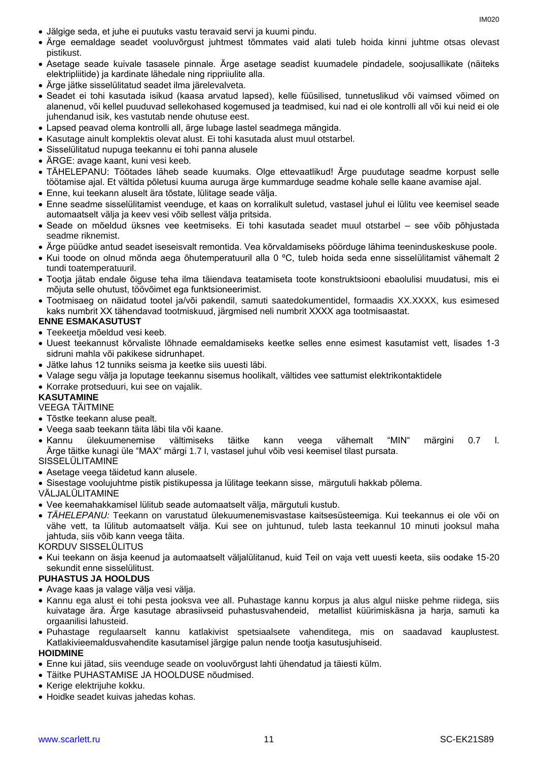- Jälgige seda, et juhe ei puutuks vastu teravaid servi ja kuumi pindu.
- Ärge eemaldage seadet vooluvõrgust juhtmest tõmmates vaid alati tuleb hoida kinni juhtme otsas olevast pistikust.
- Asetage seade kuivale tasasele pinnale. Ärge asetage seadist kuumadele pindadele, soojusallikate (näiteks elektripliitide) ja kardinate lähedale ning rippriiulite alla.
- Ärge jätke sisselülitatud seadet ilma järelevalveta.
- Seadet ei tohi kasutada isikud (kaasa arvatud lapsed), kelle füüsilised, tunnetuslikud või vaimsed võimed on alanenud, või kellel puuduvad sellekohased kogemused ja teadmised, kui nad ei ole kontrolli all või kui neid ei ole juhendanud isik, kes vastutab nende ohutuse eest.
- Lapsed peavad olema kontrolli all, ärge lubage lastel seadmega mängida.
- Kasutage ainult komplektis olevat alust. Ei tohi kasutada alust muul otstarbel.
- Sisselülitatud nupuga teekannu ei tohi panna alusele
- ÄRGE: avage kaant, kuni vesi keeb.
- TÄHELEPANU: Töötades läheb seade kuumaks. Olge ettevaatlikud! Ärge puudutage seadme korpust selle töötamise ajal. Et vältida põletusi kuuma auruga ärge kummarduge seadme kohale selle kaane avamise ajal.
- Enne, kui teekann aluselt ära tõstate, lülitage seade välja.
- Enne seadme sisselülitamist veenduge, et kaas on korralikult suletud, vastasel juhul ei lülitu vee keemisel seade automaatselt välja ja keev vesi võib sellest välja pritsida.
- Seade on mõeldud üksnes vee keetmiseks. Ei tohi kasutada seadet muul otstarbel see võib põhjustada seadme riknemist.
- Ärge püüdke antud seadet iseseisvalt remontida. Vea kõrvaldamiseks pöörduge lähima teeninduskeskuse poole.
- Kui toode on olnud mõnda aega õhutemperatuuril alla 0 ºC, tuleb hoida seda enne sisselülitamist vähemalt 2 tundi toatemperatuuril.
- Tootja jätab endale õiguse teha ilma täiendava teatamiseta toote konstruktsiooni ebaolulisi muudatusi, mis ei mõjuta selle ohutust, töövõimet ega funktsioneerimist.
- Tootmisaeg on näidatud tootel ja/või pakendil, samuti saatedokumentidel, formaadis XX.XXXX, kus esimesed kaks numbrit XX tähendavad tootmiskuud, järgmised neli numbrit XXXX aga tootmisaastat.

#### **ENNE ESMAKASUTUST**

- Teekeetja mõeldud vesi keeb.
- Uuest teekannust kõrvaliste lõhnade eemaldamiseks keetke selles enne esimest kasutamist vett, lisades 1-3 sidruni mahla või pakikese sidrunhapet.
- Jätke lahus 12 tunniks seisma ja keetke siis uuesti läbi.
- Valage segu välja ja loputage teekannu sisemus hoolikalt, vältides vee sattumist elektrikontaktidele
- Korrake protseduuri, kui see on vajalik.

### **KASUTAMINE**

### VEEGA TÄITMINE

- Tõstke teekann aluse pealt.
- Veega saab teekann täita läbi tila või kaane.
- Kannu ülekuumenemise vältimiseks täitke kann veega vähemalt "MIN" märgini 0.7 l. Ärge täitke kunagi üle "MAX" märgi 1.7 l, vastasel juhul võib vesi keemisel tilast pursata. SISSELÜLITAMINE
- Asetage veega täidetud kann alusele.
- Sisestage voolujuhtme pistik pistikupessa ja lülitage teekann sisse, märgutuli hakkab põlema.

VÄLJALÜLITAMINE

- Vee keemahakkamisel lülitub seade automaatselt välja, märgutuli kustub.
- *TÄHELEPANU:* Teekann on varustatud ülekuumenemisvastase kaitsesüsteemiga. Kui teekannus ei ole või on vähe vett, ta lülitub automaatselt välja. Kui see on juhtunud, tuleb lasta teekannul 10 minuti jooksul maha jahtuda, siis võib kann veega täita.

KORDUV SISSELÜLITUS

 Kui teekann on äsja keenud ja automaatselt väljalülitanud, kuid Teil on vaja vett uuesti keeta, siis oodake 15-20 sekundit enne sisselülitust.

#### **PUHASTUS JA HOOLDUS**

- Avage kaas ja valage välja vesi välja.
- Kannu ega alust ei tohi pesta jooksva vee all. Puhastage kannu korpus ja alus algul niiske pehme riidega, siis kuivatage ära. Ärge kasutage abrasiivseid puhastusvahendeid, metallist küürimiskäsna ja harja, samuti ka orgaanilisi lahusteid.
- Puhastage regulaarselt kannu katlakivist spetsiaalsete vahenditega, mis on saadavad kauplustest. Katlakivieemaldusvahendite kasutamisel järgige palun nende tootja kasutusjuhiseid.

#### **HOIDMINE**

- Enne kui jätad, siis veenduge seade on vooluvõrgust lahti ühendatud ja täiesti külm.
- Täitke PUHASTAMISE JA HOOLDUSE nõudmised.
- Kerige elektrijuhe kokku.
- Hoidke seadet kuivas jahedas kohas.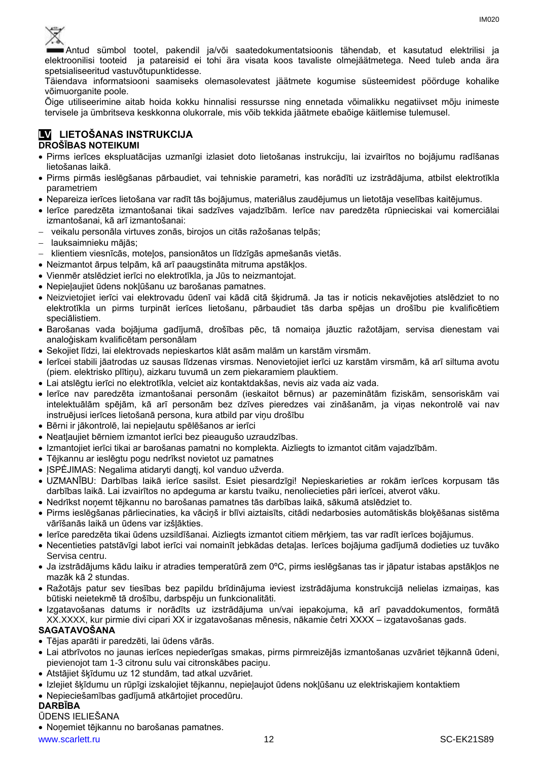

Antud sümbol tootel, pakendil ja/või saatedokumentatsioonis tähendab, et kasutatud elektrilisi ja elektroonilisi tooteid ja patareisid ei tohi ära visata koos tavaliste olmejäätmetega. Need tuleb anda ära spetsialiseeritud vastuvõtupunktidesse.

Täiendava informatsiooni saamiseks olemasolevatest jäätmete kogumise süsteemidest pöörduge kohalike võimuorganite poole.

Õige utiliseerimine aitab hoida kokku hinnalisi ressursse ning ennetada võimalikku negatiivset mõju inimeste tervisele ja ümbritseva keskkonna olukorrale, mis võib tekkida jäätmete ebaõige käitlemise tulemusel.

# **LV LIETOŠANAS INSTRUKCIJA**

# **DROŠĪBAS NOTEIKUMI**

- Pirms ierīces ekspluatācijas uzmanīgi izlasiet doto lietošanas instrukciju, lai izvairītos no bojājumu radīšanas lietošanas laikā.
- Pirms pirmās ieslēgšanas pārbaudiet, vai tehniskie parametri, kas norādīti uz izstrādājuma, atbilst elektrotīkla parametriem
- Nepareiza ierīces lietošana var radīt tās bojājumus, materiālus zaudējumus un lietotāja veselības kaitējumus.
- Ierīce paredzēta izmantošanai tikai sadzīves vajadzībām. Ierīce nav paredzēta rūpnieciskai vai komerciālai izmantošanai, kā arī izmantošanai:
- veikalu personāla virtuves zonās, birojos un citās ražošanas telpās;
- lauksaimnieku mājās;
- klientiem viesnīcās, motelos, pansionātos un līdzīgās apmešanās vietās.
- Neizmantot ārpus telpām, kā arī paaugstināta mitruma apstākļos.
- Vienmēr atslēdziet ierīci no elektrotīkla, ja Jūs to neizmantojat.
- Nepieļaujiet ūdens nokļūšanu uz barošanas pamatnes.
- Neizvietojiet ierīci vai elektrovadu ūdenī vai kādā citā šķidrumā. Ja tas ir noticis nekavējoties atslēdziet to no elektrotīkla un pirms turpināt ierīces lietošanu, pārbaudiet tās darba spējas un drošību pie kvalificētiem speciālistiem.
- Barošanas vada bojājuma gadījumā, drošības pēc, tā nomaiņa jāuztic ražotājam, servisa dienestam vai analoģiskam kvalificētam personālam
- Sekojiet līdzi, lai elektrovads nepieskartos klāt asām malām un karstām virsmām.
- Ierīcei stabili jāatrodas uz sausas līdzenas virsmas. Nenovietojiet ierīci uz karstām virsmām, kā arī siltuma avotu (piem. elektrisko plītiņu), aizkaru tuvumā un zem piekaramiem plauktiem.
- Lai atslēgtu ierīci no elektrotīkla, velciet aiz kontaktdakšas, nevis aiz vada aiz vada.
- Ierīce nav paredzēta izmantošanai personām (ieskaitot bērnus) ar pazeminātām fiziskām, sensoriskām vai intelektuālām spējām, kā arī personām bez dzīves pieredzes vai zināšanām, ja viņas nekontrolē vai nav instruējusi ierīces lietošanā persona, kura atbild par viņu drošību
- Bērni ir jākontrolē, lai nepieļautu spēlēšanos ar ierīci
- Neatļaujiet bērniem izmantot ierīci bez pieaugušo uzraudzības.
- Izmantojiet ierīci tikai ar barošanas pamatni no komplekta. Aizliegts to izmantot citām vajadzībām.
- Tējkannu ar ieslēgtu pogu nedrīkst novietot uz pamatnes
- ISPĖJIMAS: Negalima atidaryti dangti, kol vanduo užverda.
- UZMANĪBU: Darbības laikā ierīce sasilst. Esiet piesardzīgi! Nepieskarieties ar rokām ierīces korpusam tās darbības laikā. Lai izvairītos no apdeguma ar karstu tvaiku, nenoliecieties pāri ierīcei, atverot vāku.
- Nedrīkst noņemt tējkannu no barošanas pamatnes tās darbības laikā, sākumā atslēdziet to.
- Pirms ieslēgšanas pārliecinaties, ka vāciņš ir blīvi aiztaisīts, citādi nedarbosies automātiskās bloķēšanas sistēma vārīšanās laikā un ūdens var izšļākties.
- Ierīce paredzēta tikai ūdens uzsildīšanai. Aizliegts izmantot citiem mērķiem, tas var radīt ierīces bojājumus.
- Necentieties patstāvīgi labot ierīci vai nomainīt jebkādas detaļas. Ierīces bojājuma gadījumā dodieties uz tuvāko Servisa centru.
- Ja izstrādājums kādu laiku ir atradies temperatūrā zem 0ºC, pirms ieslēgšanas tas ir jāpatur istabas apstākļos ne mazāk kā 2 stundas.
- Ražotājs patur sev tiesības bez papildu brīdinājuma ieviest izstrādājuma konstrukcijā nelielas izmaiņas, kas būtiski neietekmē tā drošību, darbspēju un funkcionalitāti.
- Izgatavošanas datums ir norādīts uz izstrādājuma un/vai iepakojuma, kā arī pavaddokumentos, formātā XX.XXXX, kur pirmie divi cipari XX ir izgatavošanas mēnesis, nākamie četri XXXX – izgatavošanas gads.

# **SAGATAVOŠANA**

- Tējas aparāti ir paredzēti, lai ūdens vārās.
- Lai atbrīvotos no jaunas ierīces nepiederīgas smakas, pirms pirmreizējās izmantošanas uzvāriet tējkannā ūdeni, pievienojot tam 1-3 citronu sulu vai citronskābes paciņu.
- Atstājiet šķīdumu uz 12 stundām, tad atkal uzvāriet.
- Izlejiet šķīdumu un rūpīgi izskalojiet tējkannu, nepieļaujot ūdens nokļūšanu uz elektriskajiem kontaktiem
- Nepieciešamības gadījumā atkārtojiet procedūru.

# **DARBĪBA**

# ŪDENS IELIEŠANA

Noņemiet tējkannu no barošanas pamatnes.

www.scarlett.ru 12 12 SC-EK21S89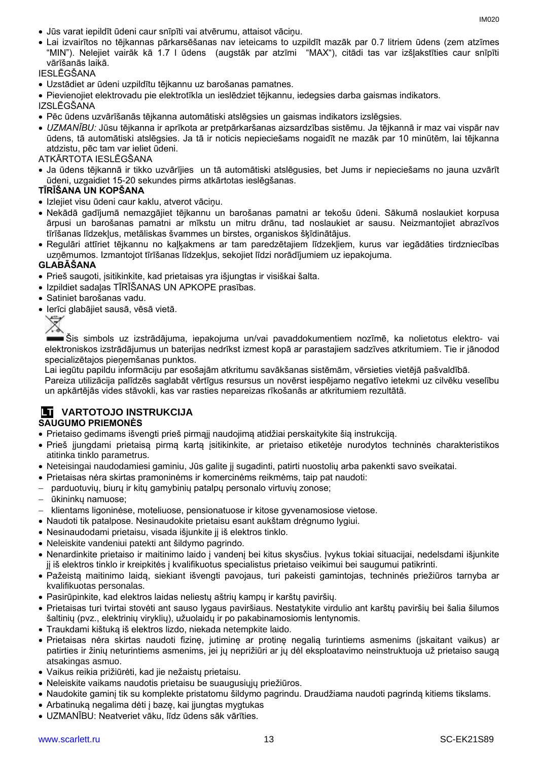- Jūs varat iepildīt ūdeni caur snīpīti vai atvērumu, attaisot vāciņu.
- Lai izvairītos no tējkannas pārkarsēšanas nav ieteicams to uzpildīt mazāk par 0.7 litriem ūdens (zem atzīmes "MIN"). Nelejiet vairāk kā 1.7 l ūdens (augstāk par atzīmi "MAX"), citādi tas var izšļakstīties caur snīpīti vārīšanās laikā.

IESLĒGŠANA

Uzstādiet ar ūdeni uzpildītu tējkannu uz barošanas pamatnes.

Pievienojiet elektrovadu pie elektrotīkla un ieslēdziet tējkannu, iedegsies darba gaismas indikators.

IZSLĒGŠANA

- Pēc ūdens uzvārīšanās tējkanna automātiski atslēgsies un gaismas indikators izslēgsies.
- *UZMANĪBU:* Jūsu tējkanna ir aprīkota ar pretpārkaršanas aizsardzības sistēmu. Ja tējkannā ir maz vai vispār nav ūdens, tā automātiski atslēgsies. Ja tā ir noticis nepieciešams nogaidīt ne mazāk par 10 minūtēm, lai tējkanna atdzistu, pēc tam var ieliet ūdeni.
- ATKĀRTOTA IESLĒGŠANA
- Ja ūdens tējkannā ir tikko uzvārījies un tā automātiski atslēgusies, bet Jums ir nepieciešams no jauna uzvārīt ūdeni, uzgaidiet 15-20 sekundes pirms atkārtotas ieslēgšanas.

#### **TĪRĪŠANA UN KOPŠANA**

- Izlejiet visu ūdeni caur kaklu, atverot vāciņu.
- Nekādā gadījumā nemazgājiet tējkannu un barošanas pamatni ar tekošu ūdeni. Sākumā noslaukiet korpusa ārpusi un barošanas pamatni ar mīkstu un mitru drānu, tad noslaukiet ar sausu. Neizmantojiet abrazīvos tīrīšanas līdzekļus, metāliskas švammes un birstes, organiskos šķīdinātājus.
- Regulāri attīriet tējkannu no kaļķakmens ar tam paredzētajiem līdzekļiem, kurus var iegādāties tirdzniecības uzņēmumos. Izmantojot tīrīšanas līdzekļus, sekojiet līdzi norādījumiem uz iepakojuma.

### **GLABĀŠANA**

- Prieš saugoti, įsitikinkite, kad prietaisas yra išjungtas ir visiškai šalta.
- Izpildiet sadaļas TĪRĪŠANAS UN APKOPE prasības.
- Satiniet barošanas vadu.
- Ierīci glabājiet sausā, vēsā vietā.



Šis simbols uz izstrādājuma, iepakojuma un/vai pavaddokumentiem nozīmē, ka nolietotus elektro- vai elektroniskos izstrādājumus un baterijas nedrīkst izmest kopā ar parastajiem sadzīves atkritumiem. Tie ir jānodod specializētajos pieņemšanas punktos.

Lai iegūtu papildu informāciju par esošajām atkritumu savākšanas sistēmām, vērsieties vietējā pašvaldībā.

Pareiza utilizācija palīdzēs saglabāt vērtīgus resursus un novērst iespējamo negatīvo ietekmi uz cilvēku veselību un apkārtējās vides stāvokli, kas var rasties nepareizas rīkošanās ar atkritumiem rezultātā.

### **LT VARTOTOJO INSTRUKCIJA SAUGUMO PRIEMONĖS**

- Prietaiso gedimams išvengti prieš pirmąjį naudojimą atidžiai perskaitykite šią instrukciją.
- Prieš įjungdami prietaisą pirmą kartą įsitikinkite, ar prietaiso etiketėje nurodytos techninės charakteristikos atitinka tinklo parametrus.
- Neteisingai naudodamiesi gaminiu, Jūs galite jį sugadinti, patirti nuostolių arba pakenkti savo sveikatai.
- Prietaisas nėra skirtas pramoninėms ir komercinėms reikmėms, taip pat naudoti:
- parduotuvių, biurų ir kitų gamybinių patalpų personalo virtuvių zonose;
- ūkininkų namuose;
- klientams ligoninėse, moteliuose, pensionatuose ir kitose gyvenamosiose vietose.
- Naudoti tik patalpose. Nesinaudokite prietaisu esant aukštam drėgnumo lygiui.
- Nesinaudodami prietaisu, visada išjunkite jį iš elektros tinklo.
- Neleiskite vandeniui patekti ant šildymo pagrindo.
- Nenardinkite prietaiso ir maitinimo laido į vandenį bei kitus skysčius. Įvykus tokiai situacijai, nedelsdami išjunkite jį iš elektros tinklo ir kreipkitės į kvalifikuotus specialistus prietaiso veikimui bei saugumui patikrinti.
- Pažeistą maitinimo laidą, siekiant išvengti pavojaus, turi pakeisti gamintojas, techninės priežiūros tarnyba ar kvalifikuotas personalas.
- Pasirūpinkite, kad elektros laidas neliestų aštrių kampų ir karštų paviršių.
- Prietaisas turi tvirtai stovėti ant sauso lygaus paviršiaus. Nestatykite virdulio ant karštų paviršių bei šalia šilumos šaltinių (pvz., elektrinių viryklių), užuolaidų ir po pakabinamosiomis lentynomis.
- Traukdami kištuką iš elektros lizdo, niekada netempkite laido.
- Prietaisas nėra skirtas naudoti fizinę, jutiminę ar protinę negalią turintiems asmenims (įskaitant vaikus) ar patirties ir žinių neturintiems asmenims, jei jų neprižiūri ar jų dėl eksploatavimo neinstruktuoja už prietaiso saugą atsakingas asmuo.
- Vaikus reikia prižiūrėti, kad jie nežaistų prietaisu.
- Neleiskite vaikams naudotis prietaisu be suaugusiųjų priežiūros.
- Naudokite gaminį tik su komplekte pristatomu šildymo pagrindu. Draudžiama naudoti pagrindą kitiems tikslams.
- Arbatinuką negalima dėti į bazę, kai įjungtas mygtukas
- UZMANĪBU: Neatveriet vāku, līdz ūdens sāk vārīties.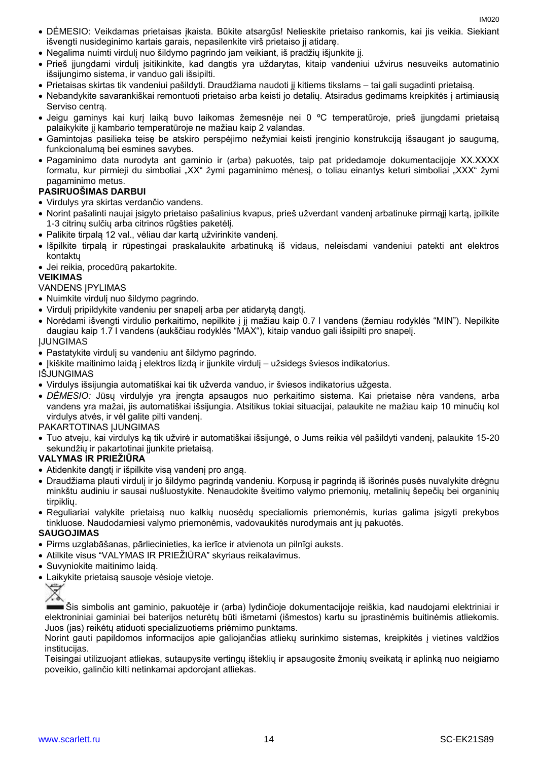- DĖMESIO: Veikdamas prietaisas įkaista. Būkite atsargūs! Nelieskite prietaiso rankomis, kai jis veikia. Siekiant išvengti nusideginimo kartais garais, nepasilenkite virš prietaiso jį atidarę.
- Negalima nuimti virdulį nuo šildymo pagrindo jam veikiant, iš pradžių išjunkite jį.
- Prieš įjungdami virdulį įsitikinkite, kad dangtis yra uždarytas, kitaip vandeniui užvirus nesuveiks automatinio išsijungimo sistema, ir vanduo gali išsipilti.
- Prietaisas skirtas tik vandeniui pašildyti. Draudžiama naudoti jį kitiems tikslams tai gali sugadinti prietaisą.
- Nebandykite savarankiškai remontuoti prietaiso arba keisti jo detalių. Atsiradus gedimams kreipkitės į artimiausią Serviso centrą.
- Jeigu gaminys kai kurį laiką buvo laikomas žemesnėje nei 0 ºC temperatūroje, prieš įjungdami prietaisą palaikykite jį kambario temperatūroje ne mažiau kaip 2 valandas.
- Gamintojas pasilieka teisę be atskiro perspėjimo nežymiai keisti įrenginio konstrukciją išsaugant jo saugumą, funkcionalumą bei esmines savybes.
- Pagaminimo data nurodyta ant gaminio ir (arba) pakuotės, taip pat pridedamoje dokumentacijoje XX.XXXX formatu, kur pirmieji du simboliai "XX" žymi pagaminimo mėnesį, o toliau einantys keturi simboliai "XXX" žymi pagaminimo metus.

# **PASIRUOŠIMAS DARBUI**

- Virdulys yra skirtas verdančio vandens.
- Norint pašalinti naujai įsigyto prietaiso pašalinius kvapus, prieš užverdant vandenį arbatinuke pirmąjį kartą, įpilkite 1-3 citrinų sulčių arba citrinos rūgšties paketėlį.
- Palikite tirpalą 12 val., vėliau dar kartą užvirinkite vandenį.
- Išpilkite tirpalą ir rūpestingai praskalaukite arbatinuką iš vidaus, neleisdami vandeniui patekti ant elektros kontaktų
- Jei reikia, procedūrą pakartokite.

# **VEIKIMAS**

VANDENS ĮPYLIMAS

- Nuimkite virdulį nuo šildymo pagrindo.
- Virdulį pripildykite vandeniu per snapelį arba per atidarytą dangtį.
- Norėdami išvengti virdulio perkaitimo, nepilkite į jį mažiau kaip 0.7 l vandens (žemiau rodyklės "MIN"). Nepilkite daugiau kaip 1.7 l vandens (aukščiau rodyklės "MAX"), kitaip vanduo gali išsipilti pro snapelį.

ĮJUNGIMAS

Pastatykite virdulį su vandeniu ant šildymo pagrindo.

• Įkiškite maitinimo laidą į elektros lizdą ir įjunkite virdulį – užsidegs šviesos indikatorius.

IŠJUNGIMAS

- Virdulys išsijungia automatiškai kai tik užverda vanduo, ir šviesos indikatorius užgesta.
- *DĖMESIO:* Jūsų virdulyje yra įrengta apsaugos nuo perkaitimo sistema. Kai prietaise nėra vandens, arba vandens yra mažai, jis automatiškai išsijungia. Atsitikus tokiai situacijai, palaukite ne mažiau kaip 10 minučių kol virdulys atvės, ir vėl galite pilti vandenį.

PAKARTOTINAS ĮJUNGIMAS

 Tuo atveju, kai virdulys ką tik užvirė ir automatiškai išsijungė, o Jums reikia vėl pašildyti vandenį, palaukite 15-20 sekundžių ir pakartotinai įjunkite prietaisą.

# **VALYMAS IR PRIEŽIŪRA**

- Atidenkite dangtį ir išpilkite visą vandenį pro angą.
- Draudžiama plauti virdulį ir jo šildymo pagrindą vandeniu. Korpusą ir pagrindą iš išorinės pusės nuvalykite drėgnu minkštu audiniu ir sausai nušluostykite. Nenaudokite šveitimo valymo priemonių, metalinių šepečių bei organinių tirpiklių.
- Reguliariai valykite prietaisą nuo kalkių nuosėdų specialiomis priemonėmis, kurias galima įsigyti prekybos tinkluose. Naudodamiesi valymo priemonėmis, vadovaukitės nurodymais ant jų pakuotės.

### **SAUGOJIMAS**

- Pirms uzglabāšanas, pārliecinieties, ka ierīce ir atvienota un pilnīgi auksts.
- Atilkite visus "VALYMAS IR PRIEŽIŪRA" skyriaus reikalavimus.
- Suvyniokite maitinimo laidą.
- Laikykite prietaisą sausoje vėsioje vietoje.



Šis simbolis ant gaminio, pakuotėje ir (arba) lydinčioje dokumentacijoje reiškia, kad naudojami elektriniai ir elektroniniai gaminiai bei baterijos neturėtų būti išmetami (išmestos) kartu su įprastinėmis buitinėmis atliekomis. Juos (jas) reikėtų atiduoti specializuotiems priėmimo punktams.

Norint gauti papildomos informacijos apie galiojančias atliekų surinkimo sistemas, kreipkitės į vietines valdžios institucijas.

Teisingai utilizuojant atliekas, sutaupysite vertingų išteklių ir apsaugosite žmonių sveikatą ir aplinką nuo neigiamo poveikio, galinčio kilti netinkamai apdorojant atliekas.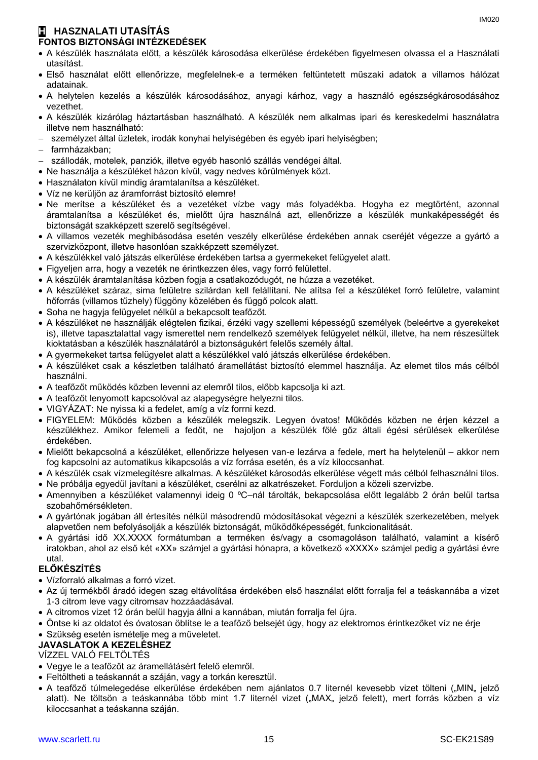# **H HASZNALATI UTASÍTÁS FONTOS BIZTONSÁGI INTÉZKEDÉSEK**

- A készülék használata előtt, a készülék károsodása elkerülése érdekében figyelmesen olvassa el a Használati utasítást.
- Első használat előtt ellenőrizze, megfelelnek-e a terméken feltüntetett műszaki adatok a villamos hálózat adatainak.
- A helytelen kezelés a készülék károsodásához, anyagi kárhoz, vagy a használó egészségkárosodásához vezethet.
- A készülék kizárólag háztartásban használható. A készülék nem alkalmas ipari és kereskedelmi használatra illetve nem használható:
- személyzet által üzletek, irodák konyhai helyiségében és egyéb ipari helyiségben;
- farmházakban;
- szállodák, motelek, panziók, illetve egyéb hasonló szállás vendégei által.
- Ne használja a készüléket házon kívül, vagy nedves körülmények közt.
- Használaton kívül mindig áramtalanítsa a készüléket.
- Víz ne kerüljön az áramforrást biztosító elemre!
- Ne merítse a készüléket és a vezetéket vízbe vagy más folyadékba. Hogyha ez megtörtént, azonnal áramtalanítsa a készüléket és, mielőtt újra használná azt, ellenőrizze a készülék munkaképességét és biztonságát szakképzett szerelő segítségével.
- A villamos vezeték meghibásodása esetén veszély elkerülése érdekében annak cseréjét végezze a gyártó a szervizközpont, illetve hasonlóan szakképzett személyzet.
- A készülékkel való játszás elkerülése érdekében tartsa a gyermekeket felügyelet alatt.
- Figyeljen arra, hogy a vezeték ne érintkezzen éles, vagy forró felülettel.
- A készülék áramtalanítása közben fogja a csatlakozódugót, ne húzza a vezetéket.
- A készüléket száraz, sima felületre szilárdan kell felállítani. Ne alítsa fel a készüléket forró felületre, valamint hőforrás (villamos tűzhely) függöny közelében és függő polcok alatt.
- Soha ne hagyja felügyelet nélkül a bekapcsolt teafőzőt.
- A készüléket ne használják elégtelen fizikai, érzéki vagy szellemi képességű személyek (beleértve a gyerekeket is), illetve tapasztalattal vagy ismerettel nem rendelkező személyek felügyelet nélkül, illetve, ha nem részesültek kioktatásban a készülék használatáról a biztonságukért felelős személy által.
- A gyermekeket tartsa felügyelet alatt a készülékkel való játszás elkerülése érdekében.
- A készüléket csak a készletben található áramellátást biztosító elemmel használja. Az elemet tilos más célból használni.
- A teafőzőt működés közben levenni az elemről tilos, előbb kapcsolja ki azt.
- A teafőzőt lenyomott kapcsolóval az alapegységre helyezni tilos.
- VIGYÁZAT: Ne nyissa ki a fedelet, amíg a víz forrni kezd.
- FIGYELEM: Működés közben a készülék melegszik. Legyen óvatos! Működés közben ne érjen kézzel a készülékhez. Amikor felemeli a fedőt, ne hajoljon a készülék fölé gőz általi égési sérülések elkerülése érdekében.
- Mielőtt bekapcsolná a készüléket, ellenőrizze helyesen van-e lezárva a fedele, mert ha helytelenül akkor nem fog kapcsolni az automatikus kikapcsolás a víz forrása esetén, és a víz kiloccsanhat.
- A készülék csak vízmelegítésre alkalmas. A készüléket károsodás elkerülése végett más célból felhasználni tilos.
- Ne próbálja egyedül javítani a készüléket, cserélni az alkatrészeket. Forduljon a közeli szervizbe.
- Amennyiben a készüléket valamennyi ideig 0 ºC–nál tárolták, bekapcsolása előtt legalább 2 órán belül tartsa szobahőmérsékleten.
- A gyártónak jogában áll értesítés nélkül másodrendű módosításokat végezni a készülék szerkezetében, melyek alapvetően nem befolyásolják a készülék biztonságát, működőképességét, funkcionalitását.
- A gyártási idő XX.XXXX formátumban a terméken és/vagy a csomagoláson található, valamint a kísérő iratokban, ahol az első két «XX» számjel a gyártási hónapra, a következő «XXXX» számjel pedig a gyártási évre utal.

# **ELŐKÉSZÍTÉS**

- Vízforraló alkalmas a forró vizet.
- Az új termékből áradó idegen szag eltávolítása érdekében első használat előtt forralja fel a teáskannába a vizet 1-3 citrom leve vagy citromsav hozzáadásával.
- A citromos vizet 12 órán belül hagyja állni a kannában, miután forralja fel újra.
- Öntse ki az oldatot és óvatosan öblítse le a teafőző belsejét úgy, hogy az elektromos érintkezőket víz ne érje Szükség esetén ismételje meg a műveletet.

# **JAVASLATOK A KEZELÉSHEZ**

# VÍZZEL VALÓ FELTÖLTÉS

- Vegye le a teafőzőt az áramellátásért felelő elemről.
- Feltöltheti a teáskannát a száján, vagy a torkán keresztül.
- A teafőző túlmelegedése elkerülése érdekében nem ajánlatos 0.7 liternél kevesebb vizet tölteni ("MIN" jelző alatt). Ne töltsön a teáskannába több mint 1.7 liternél vizet ("MAX" jelző felett), mert forrás közben a víz kiloccsanhat a teáskanna száján.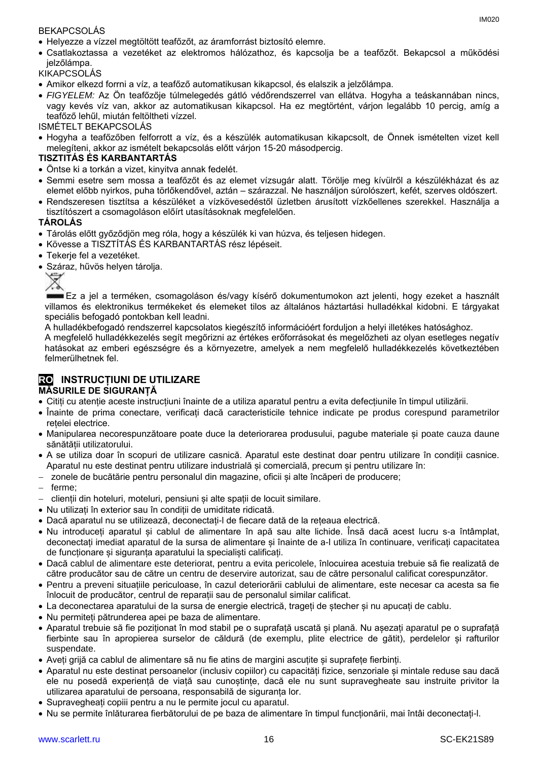### BEKAPCSOLÁS

 Csatlakoztassa a vezetéket az elektromos hálózathoz, és kapcsolja be a teafőzőt. Bekapcsol a működési jelzőlámpa.

# **KIKAPCSOLÁS**

- Amikor elkezd forrni a víz, a teafőző automatikusan kikapcsol, és elalszik a jelzőlámpa.
- *FIGYELEM:* Az Ön teafőzője túlmelegedés gátló védőrendszerrel van ellátva. Hogyha a teáskannában nincs, vagy kevés víz van, akkor az automatikusan kikapcsol. Ha ez megtörtént, várjon legalább 10 percig, amíg a teafőző lehűl, miután feltöltheti vízzel.

ISMÉTELT BEKAPCSOLÁS

 Hogyha a teafőzőben felforrott a víz, és a készülék automatikusan kikapcsolt, de Önnek ismételten vizet kell melegíteni, akkor az ismételt bekapcsolás előtt várjon 15-20 másodpercig.

# **TISZTITÁS ÉS KARBANTARTÁS**

- Öntse ki a torkán a vizet, kinyitva annak fedelét.
- Semmi esetre sem mossa a teafőzőt és az elemet vízsugár alatt. Törölje meg kívülről a készülékházat és az elemet előbb nyirkos, puha törlőkendővel, aztán – szárazzal. Ne használjon súrolószert, kefét, szerves oldószert.
- Rendszeresen tisztítsa a készüléket a vízkövesedéstől üzletben árusított vízkőellenes szerekkel. Használja a tisztítószert a csomagoláson előírt utasításoknak megfelelően.

# **TÁROLÁS**

- Tárolás előtt győződjön meg róla, hogy a készülék ki van húzva, és teljesen hidegen.
- Kövesse a TISZTÍTÁS ÉS KARBANTARTÁS rész lépéseit.
- Tekerje fel a vezetéket.
- Száraz, hűvös helyen tárolia.



Ez a jel a terméken, csomagoláson és/vagy kísérő dokumentumokon azt jelenti, hogy ezeket a használt villamos és elektronikus termékeket és elemeket tilos az általános háztartási hulladékkal kidobni. E tárgyakat speciális befogadó pontokban kell leadni.

A hulladékbefogadó rendszerrel kapcsolatos kiegészítő információért forduljon a helyi illetékes hatósághoz.

A megfelelő hulladékkezelés segít megőrizni az értékes erőforrásokat és megelőzheti az olyan esetleges negatív hatásokat az emberi egészségre és a környezetre, amelyek a nem megfelelő hulladékkezelés következtében felmerülhetnek fel.

### **RO INSTRUCȚIUNI DE UTILIZARE MĂSURILE DE SIGURANȚĂ**

- Citiți cu atenție aceste instrucțiuni înainte de a utiliza aparatul pentru a evita defecțiunile în timpul utilizării.
- Înainte de prima conectare, verificați dacă caracteristicile tehnice indicate pe produs corespund parametrilor rețelei electrice.
- Manipularea necorespunzătoare poate duce la deteriorarea produsului, pagube materiale și poate cauza daune sănătății utilizatorului.
- A se utiliza doar în scopuri de utilizare casnică. Aparatul este destinat doar pentru utilizare în condiții casnice. Aparatul nu este destinat pentru utilizare industrială și comercială, precum și pentru utilizare în:
- zonele de bucătărie pentru personalul din magazine, oficii și alte încăperi de producere;
- ferme;
- clienții din hoteluri, moteluri, pensiuni și alte spații de locuit similare.
- Nu utilizați în exterior sau în condiții de umiditate ridicată.
- Dacă aparatul nu se utilizează, deconectați-l de fiecare dată de la rețeaua electrică.
- Nu introduceți aparatul și cablul de alimentare în apă sau alte lichide. Însă dacă acest lucru s-a întâmplat, deconectați imediat aparatul de la sursa de alimentare și înainte de a-l utiliza în continuare, verificați capacitatea de funcționare și siguranța aparatului la specialiști calificați.
- Dacă cablul de alimentare este deteriorat, pentru a evita pericolele, înlocuirea acestuia trebuie să fie realizată de către producător sau de către un centru de deservire autorizat, sau de către personalul calificat corespunzător.
- Pentru a preveni situațiile periculoase, în cazul deteriorării cablului de alimentare, este necesar ca acesta sa fie înlocuit de producător, centrul de reparații sau de personalul similar calificat.
- La deconectarea aparatului de la sursa de energie electrică, trageți de ștecher și nu apucați de cablu.
- Nu permiteți pătrunderea apei pe baza de alimentare.
- Aparatul trebuie să fie poziționat în mod stabil pe o suprafață uscată și plană. Nu așezați aparatul pe o suprafață fierbinte sau în apropierea surselor de căldură (de exemplu, plite electrice de gătit), perdelelor și rafturilor suspendate.
- Aveți grijă ca cablul de alimentare să nu fie atins de margini ascuțite și suprafețe fierbinți.
- Aparatul nu este destinat persoanelor (inclusiv copiilor) cu capacități fizice, senzoriale și mintale reduse sau dacă ele nu posedă experiență de viață sau cunoștințe, dacă ele nu sunt supravegheate sau instruite privitor la utilizarea aparatului de persoana, responsabilă de siguranța lor.
- Supravegheați copiii pentru a nu le permite jocul cu aparatul.
- Nu se permite înlăturarea fierbătorului de pe baza de alimentare în timpul funcționării, mai întâi deconectați-l.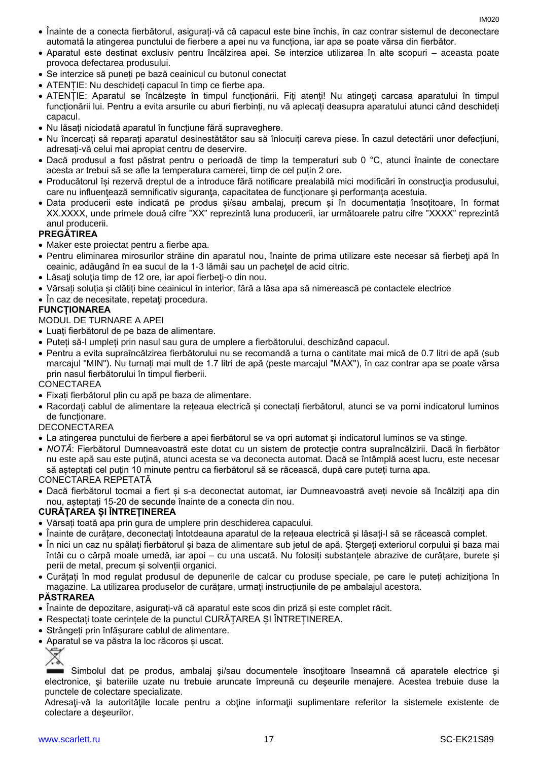- Înainte de a conecta fierbătorul, asigurați-vă că capacul este bine închis, în caz contrar sistemul de deconectare automată la atingerea punctului de fierbere a apei nu va funcționa, iar apa se poate vărsa din fierbător.
- Aparatul este destinat exclusiv pentru încălzirea apei. Se interzice utilizarea în alte scopuri aceasta poate provoca defectarea produsului.
- Se interzice să puneți pe bază ceainicul cu butonul conectat
- ATENȚIE: Nu deschideți capacul în timp ce fierbe apa.
- ATENȚIE: Aparatul se încălzește în timpul funcționării. Fiți atenți! Nu atingeți carcasa aparatului în timpul funcționării lui. Pentru a evita arsurile cu aburi fierbinți, nu vă aplecați deasupra aparatului atunci când deschideți capacul.
- Nu lăsați niciodată aparatul în funcțiune fără supraveghere.
- Nu încercați să reparați aparatul desinestătător sau să înlocuiți careva piese. În cazul detectării unor defecțiuni, adresați-vă celui mai apropiat centru de deservire.
- Dacă produsul a fost păstrat pentru o perioadă de timp la temperaturi sub 0 °C, atunci înainte de conectare acesta ar trebui să se afle la temperatura camerei, timp de cel puțin 2 ore.
- Producătorul își rezervă dreptul de a introduce fără notificare prealabilă mici modificări în construcţia produsului, care nu influențează semnificativ siguranța, capacitatea de funcționare și performanța acestuia.
- Data producerii este indicată pe produs și/sau ambalaj, precum și în documentația însoțitoare, în format XX.XXXX, unde primele două cifre "XX" reprezintă luna producerii, iar următoarele patru cifre "XXXX" reprezintă anul producerii.

### **PREGĂTIREA**

- Maker este proiectat pentru a fierbe apa.
- Pentru eliminarea mirosurilor străine din aparatul nou, înainte de prima utilizare este necesar să fierbeţi apă în ceainic, adăugând în ea sucul de la 1-3 lămâi sau un pachetel de acid citric.
- Lăsaţi soluţia timp de 12 ore, iar apoi fierbeţi-o din nou.
- Vărsați soluția și clătiți bine ceainicul în interior, fără a lăsa apa să nimerească pe contactele electrice
- În caz de necesitate, repetați procedura.

# **FUNCȚIONAREA**

# MODUL DE TURNARE A APEI

- Luați fierbătorul de pe baza de alimentare.
- Puteți să-l umpleți prin nasul sau gura de umplere a fierbătorului, deschizând capacul.
- Pentru a evita supraîncălzirea fierbătorului nu se recomandă a turna o cantitate mai mică de 0.7 litri de apă (sub marcajul "MIN"). Nu turnați mai mult de 1.7 litri de apă (peste marcajul "MAX"), în caz contrar apa se poate vărsa prin nasul fierbătorului în timpul fierberii.

**CONECTAREA** 

- Fixați fierbătorul plin cu apă pe baza de alimentare.
- Racordați cablul de alimentare la rețeaua electrică și conectați fierbătorul, atunci se va porni indicatorul luminos de funcționare.

DECONECTAREA

- La atingerea punctului de fierbere a apei fierbătorul se va opri automat și indicatorul luminos se va stinge.
- *NOTĂ*: Fierbătorul Dumneavoastră este dotat cu un sistem de protecție contra supraîncălzirii. Dacă în fierbător nu este apă sau este puțină, atunci acesta se va deconecta automat. Dacă se întâmplă acest lucru, este necesar să așteptați cel puțin 10 minute pentru ca fierbătorul să se răcească, după care puteți turna apa.

CONECTAREA REPETATĂ

 Dacă fierbătorul tocmai a fiert și s-a deconectat automat, iar Dumneavoastră aveți nevoie să încălziți apa din nou, așteptați 15-20 de secunde înainte de a conecta din nou.

### **CURĂȚAREA ȘI ÎNTREȚINEREA**

- Vărsați toată apa prin gura de umplere prin deschiderea capacului.
- Înainte de curățare, deconectați întotdeauna aparatul de la rețeaua electrică și lăsați-l să se răcească complet.
- În nici un caz nu spălați fierbătorul și baza de alimentare sub jetul de apă. Ștergeți exteriorul corpului și baza mai întâi cu o cârpă moale umedă, iar apoi – cu una uscată. Nu folosiți substanțele abrazive de curățare, burete și perii de metal, precum și solvenții organici.
- Curățați în mod regulat produsul de depunerile de calcar cu produse speciale, pe care le puteți achiziționa în magazine. La utilizarea produselor de curățare, urmați instrucțiunile de pe ambalajul acestora.

### **PĂSTRAREA**

- Înainte de depozitare, asigurați-vă că aparatul este scos din priză și este complet răcit.
- Respectați toate cerințele de la punctul CURĂȚAREA ȘI ÎNTREȚINEREA.
- Strângeți prin înfășurare cablul de alimentare.
- Aparatul se va păstra la loc răcoros și uscat.



Simbolul dat pe produs, ambalaj si/sau documentele însoțitoare înseamnă că aparatele electrice și electronice, şi bateriile uzate nu trebuie aruncate împreună cu deşeurile menajere. Acestea trebuie duse la punctele de colectare specializate.

Adresaţi-vă la autorităţile locale pentru a obţine informaţii suplimentare referitor la sistemele existente de colectare a deşeurilor.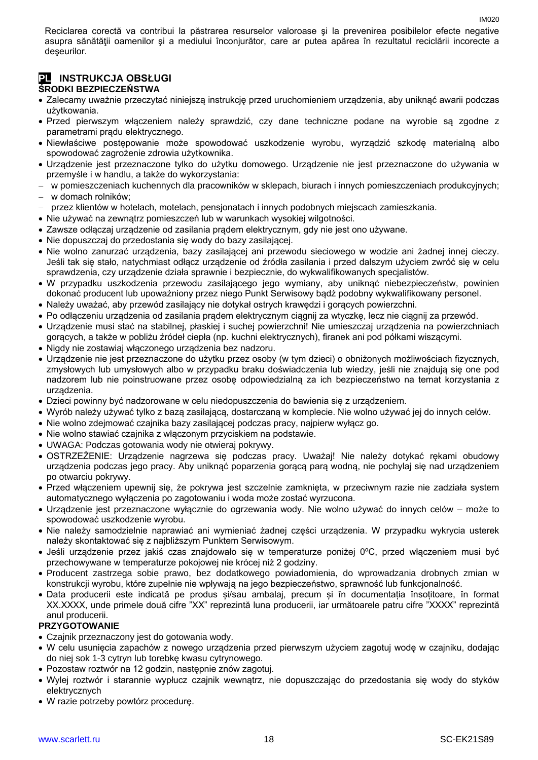Reciclarea corectă va contribui la păstrarea resurselor valoroase şi la prevenirea posibilelor efecte negative asupra sănătății oamenilor și a mediului înconjurător, care ar putea apărea în rezultatul reciclării incorecte a deşeurilor.

# **PL INSTRUKCJA OBSŁUGI ŚRODKI BEZPIECZEŃSTWA**

- Zalecamy uważnie przeczytać niniejszą instrukcję przed uruchomieniem urządzenia, aby uniknąć awarii podczas użytkowania.
- Przed pierwszym włączeniem należy sprawdzić, czy dane techniczne podane na wyrobie są zgodne z parametrami prądu elektrycznego.
- Niewłaściwe postępowanie może spowodować uszkodzenie wyrobu, wyrządzić szkodę materialną albo spowodować zagrożenie zdrowia użytkownika.
- Urządzenie jest przeznaczone tylko do użytku domowego. Urządzenie nie jest przeznaczone do używania w przemyśle i w handlu, a także do wykorzystania:
- w pomieszczeniach kuchennych dla pracowników w sklepach, biurach i innych pomieszczeniach produkcyjnych; w domach rolników;
- przez klientów w hotelach, motelach, pensjonatach i innych podobnych miejscach zamieszkania.
- Nie używać na zewnątrz pomieszczeń lub w warunkach wysokiej wilgotności.
- Zawsze odłączaj urządzenie od zasilania prądem elektrycznym, gdy nie jest ono używane.
- Nie dopuszczaj do przedostania się wody do bazy zasilającej.
- Nie wolno zanurzać urządzenia, bazy zasilającej ani przewodu sieciowego w wodzie ani żadnej innej cieczy. Jeśli tak się stało, natychmiast odłącz urządzenie od źródła zasilania i przed dalszym użyciem zwróć się w celu sprawdzenia, czy urządzenie działa sprawnie i bezpiecznie, do wykwalifikowanych specjalistów.
- W przypadku uszkodzenia przewodu zasilającego jego wymiany, aby uniknąć niebezpieczeństw, powinien dokonać producent lub upoważniony przez niego Punkt Serwisowy bądź podobny wykwalifikowany personel.
- Należy uważać, aby przewód zasilający nie dotykał ostrych krawędzi i gorących powierzchni.
- Po odłączeniu urządzenia od zasilania prądem elektrycznym ciągnij za wtyczkę, lecz nie ciągnij za przewód.
- Urządzenie musi stać na stabilnej, płaskiej i suchej powierzchni! Nie umieszczaj urządzenia na powierzchniach gorących, a także w pobliżu źródeł ciepła (np. kuchni elektrycznych), firanek ani pod półkami wiszącymi.
- Nigdy nie zostawiaj włączonego urządzenia bez nadzoru.
- Urządzenie nie jest przeznaczone do użytku przez osoby (w tym dzieci) o obniżonych możliwościach fizycznych, zmysłowych lub umysłowych albo w przypadku braku doświadczenia lub wiedzy, jeśli nie znajdują się one pod nadzorem lub nie poinstruowane przez osobę odpowiedzialną za ich bezpieczeństwo na temat korzystania z urządzenia.
- Dzieci powinny być nadzorowane w celu niedopuszczenia do bawienia się z urządzeniem.
- Wyrób należy używać tylko z bazą zasilającą, dostarczaną w komplecie. Nie wolno używać jej do innych celów.
- Nie wolno zdejmować czajnika bazy zasilającej podczas pracy, najpierw wyłącz go.
- Nie wolno stawiać czajnika z włączonym przyciskiem na podstawie.
- UWAGA: Podczas gotowania wody nie otwieraj pokrywy.
- OSTRZEŻENIE: Urządzenie nagrzewa się podczas pracy. Uważaj! Nie należy dotykać rękami obudowy urządzenia podczas jego pracy. Aby uniknąć poparzenia gorącą parą wodną, nie pochylaj się nad urządzeniem po otwarciu pokrywy.
- Przed włączeniem upewnij się, że pokrywa jest szczelnie zamknięta, w przeciwnym razie nie zadziała system automatycznego wyłączenia po zagotowaniu i woda może zostać wyrzucona.
- Urządzenie jest przeznaczone wyłącznie do ogrzewania wody. Nie wolno używać do innych celów może to spowodować uszkodzenie wyrobu.
- Nie należy samodzielnie naprawiać ani wymieniać żadnej części urządzenia. W przypadku wykrycia usterek należy skontaktować się z najbliższym Punktem Serwisowym.
- Jeśli urządzenie przez jakiś czas znajdowało się w temperaturze poniżej 0ºC, przed włączeniem musi być przechowywane w temperaturze pokojowej nie krócej niż 2 godziny.
- Producent zastrzega sobie prawo, bez dodatkowego powiadomienia, do wprowadzania drobnych zmian w konstrukcji wyrobu, które zupełnie nie wpływają na jego bezpieczeństwo, sprawność lub funkcjonalność.
- Data producerii este indicată pe produs și/sau ambalaj, precum și în documentația însoțitoare, în format XX.XXXX, unde primele două cifre "XX" reprezintă luna producerii, iar următoarele patru cifre "XXXX" reprezintă anul producerii.

### **PRZYGOTOWANIE**

- Czajnik przeznaczony jest do gotowania wody.
- W celu usunięcia zapachów z nowego urządzenia przed pierwszym użyciem zagotuj wodę w czajniku, dodając do niej sok 1-3 cytryn lub torebkę kwasu cytrynowego.
- Pozostaw roztwór na 12 godzin, następnie znów zagotuj.
- Wylej roztwór i starannie wypłucz czajnik wewnątrz, nie dopuszczając do przedostania się wody do styków elektrycznych
- W razie potrzeby powtórz procedurę.